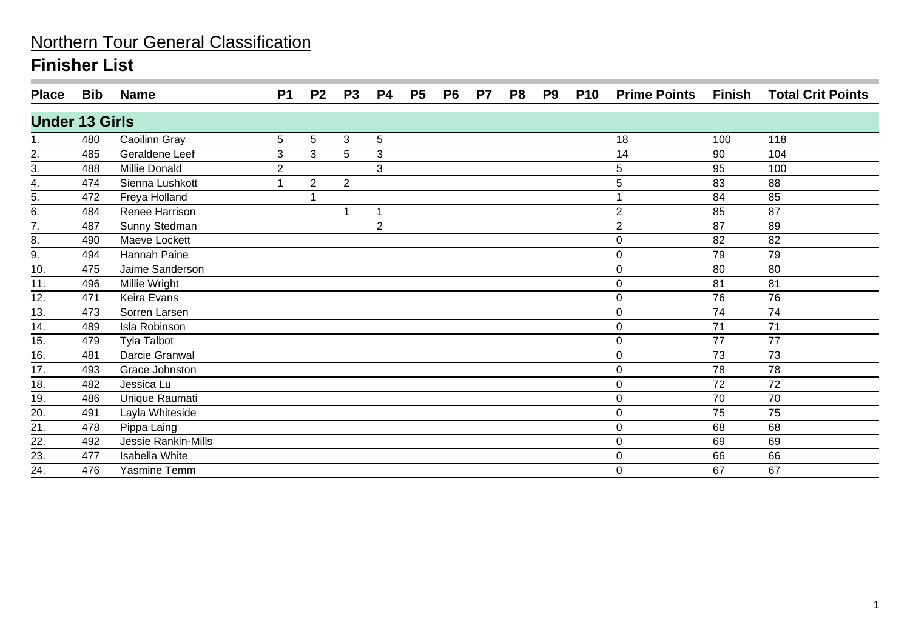| <b>Place</b>          | Bib | <b>Name</b>         | <b>P1</b>      | P <sub>2</sub> | P <sub>3</sub> | P4             | P <sub>5</sub> | P <sub>6</sub> | P <sub>7</sub> | P8 | P9 | <b>P10</b> | <b>Prime Points</b> | Finish | <b>Total Crit Points</b> |
|-----------------------|-----|---------------------|----------------|----------------|----------------|----------------|----------------|----------------|----------------|----|----|------------|---------------------|--------|--------------------------|
| <b>Under 13 Girls</b> |     |                     |                |                |                |                |                |                |                |    |    |            |                     |        |                          |
| 1.                    | 480 | Caoilinn Gray       | 5              | 5              | 3              | 5              |                |                |                |    |    |            | 18                  | 100    | 118                      |
| $\frac{2}{3}$ .       | 485 | Geraldene Leef      | 3              | 3              | 5              | 3              |                |                |                |    |    |            | 14                  | 90     | 104                      |
|                       | 488 | Millie Donald       | $\overline{2}$ |                |                | 3              |                |                |                |    |    |            | 5                   | 95     | 100                      |
| 4.                    | 474 | Sienna Lushkott     | 1              | $\overline{2}$ | $\overline{2}$ |                |                |                |                |    |    |            | 5                   | 83     | 88                       |
| 5.                    | 472 | Freya Holland       |                |                |                |                |                |                |                |    |    |            |                     | 84     | 85                       |
| $rac{6}{7}$           | 484 | Renee Harrison      |                |                |                |                |                |                |                |    |    |            | $\mathbf{2}$        | 85     | 87                       |
|                       | 487 | Sunny Stedman       |                |                |                | $\overline{2}$ |                |                |                |    |    |            | $\overline{2}$      | 87     | 89                       |
| 8.                    | 490 | Maeve Lockett       |                |                |                |                |                |                |                |    |    |            | $\boldsymbol{0}$    | 82     | 82                       |
| 9.                    | 494 | Hannah Paine        |                |                |                |                |                |                |                |    |    |            | $\mathbf 0$         | 79     | 79                       |
| $\overline{10}$ .     | 475 | Jaime Sanderson     |                |                |                |                |                |                |                |    |    |            | 0                   | 80     | 80                       |
| 11.                   | 496 | Millie Wright       |                |                |                |                |                |                |                |    |    |            | $\pmb{0}$           | 81     | 81                       |
| 12.                   | 471 | Keira Evans         |                |                |                |                |                |                |                |    |    |            | 0                   | 76     | 76                       |
| 13.                   | 473 | Sorren Larsen       |                |                |                |                |                |                |                |    |    |            | $\mathbf 0$         | 74     | 74                       |
| 14.                   | 489 | Isla Robinson       |                |                |                |                |                |                |                |    |    |            | $\boldsymbol{0}$    | 71     | 71                       |
| 15.                   | 479 | <b>Tyla Talbot</b>  |                |                |                |                |                |                |                |    |    |            | 0                   | 77     | 77                       |
| 16.                   | 481 | Darcie Granwal      |                |                |                |                |                |                |                |    |    |            | $\boldsymbol{0}$    | 73     | 73                       |
| 17.                   | 493 | Grace Johnston      |                |                |                |                |                |                |                |    |    |            | $\mathbf 0$         | 78     | 78                       |
| 18.                   | 482 | Jessica Lu          |                |                |                |                |                |                |                |    |    |            | $\boldsymbol{0}$    | 72     | 72                       |
| 19.                   | 486 | Unique Raumati      |                |                |                |                |                |                |                |    |    |            | 0                   | 70     | 70                       |
| 20.                   | 491 | Layla Whiteside     |                |                |                |                |                |                |                |    |    |            | $\mathbf 0$         | 75     | 75                       |
| $\overline{21}$       | 478 | Pippa Laing         |                |                |                |                |                |                |                |    |    |            | $\pmb{0}$           | 68     | 68                       |
| $\overline{22}$ .     | 492 | Jessie Rankin-Mills |                |                |                |                |                |                |                |    |    |            | $\boldsymbol{0}$    | 69     | 69                       |
| 23.                   | 477 | Isabella White      |                |                |                |                |                |                |                |    |    |            | 0                   | 66     | 66                       |
| 24.                   | 476 | Yasmine Temm        |                |                |                |                |                |                |                |    |    |            | $\mathbf 0$         | 67     | 67                       |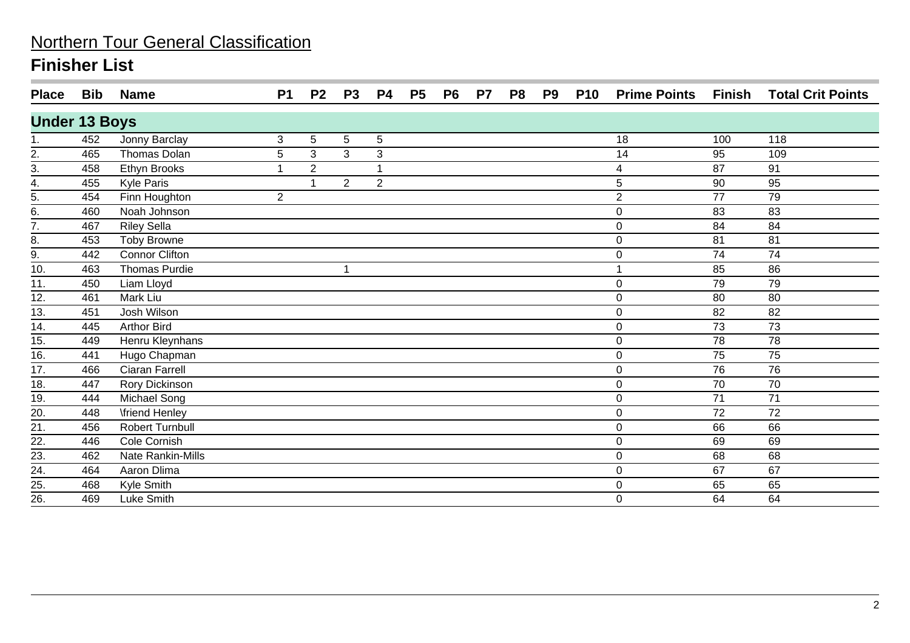| <b>Place</b>         | Bib | <b>Name</b>            | <b>P1</b>      | P <sub>2</sub> | P <sub>3</sub> | P4             | P <sub>5</sub> | P <sub>6</sub> | P <sub>7</sub> | P <sub>8</sub> | P <sub>9</sub> | <b>P10</b> | <b>Prime Points</b> | Finish | <b>Total Crit Points</b> |
|----------------------|-----|------------------------|----------------|----------------|----------------|----------------|----------------|----------------|----------------|----------------|----------------|------------|---------------------|--------|--------------------------|
| <b>Under 13 Boys</b> |     |                        |                |                |                |                |                |                |                |                |                |            |                     |        |                          |
|                      | 452 | Jonny Barclay          | 3              | 5              | 5              | 5              |                |                |                |                |                |            | 18                  | 100    | 118                      |
| $\frac{2}{3}$        | 465 | Thomas Dolan           | 5              | 3              | 3              | 3              |                |                |                |                |                |            | 14                  | 95     | 109                      |
|                      | 458 | Ethyn Brooks           | $\overline{ }$ | $\overline{2}$ |                |                |                |                |                |                |                |            | 4                   | 87     | 91                       |
| 4.                   | 455 | <b>Kyle Paris</b>      |                |                | $\overline{2}$ | $\overline{2}$ |                |                |                |                |                |            | 5                   | 90     | 95                       |
| 5.                   | 454 | Finn Houghton          | $\overline{2}$ |                |                |                |                |                |                |                |                |            | $\overline{c}$      | 77     | 79                       |
| 6.                   | 460 | Noah Johnson           |                |                |                |                |                |                |                |                |                |            | $\mathbf 0$         | 83     | 83                       |
| $\overline{7}$ .     | 467 | <b>Riley Sella</b>     |                |                |                |                |                |                |                |                |                |            | $\pmb{0}$           | 84     | 84                       |
| 8.                   | 453 | <b>Toby Browne</b>     |                |                |                |                |                |                |                |                |                |            | $\mathbf 0$         | 81     | 81                       |
| 9.                   | 442 | <b>Connor Clifton</b>  |                |                |                |                |                |                |                |                |                |            | $\mathbf 0$         | 74     | 74                       |
| 10.                  | 463 | Thomas Purdie          |                |                | -1             |                |                |                |                |                |                |            | 1                   | 85     | 86                       |
| 11.                  | 450 | Liam Lloyd             |                |                |                |                |                |                |                |                |                |            | $\mathbf 0$         | 79     | 79                       |
| 12.                  | 461 | Mark Liu               |                |                |                |                |                |                |                |                |                |            | $\mathbf 0$         | 80     | 80                       |
| 13.                  | 451 | Josh Wilson            |                |                |                |                |                |                |                |                |                |            | $\mathbf 0$         | 82     | 82                       |
| 14.                  | 445 | Arthor Bird            |                |                |                |                |                |                |                |                |                |            | 0                   | 73     | 73                       |
| 15.                  | 449 | Henru Kleynhans        |                |                |                |                |                |                |                |                |                |            | $\mathbf 0$         | 78     | 78                       |
| $\overline{16}$ .    | 441 | Hugo Chapman           |                |                |                |                |                |                |                |                |                |            | $\mathbf 0$         | 75     | 75                       |
| 17.                  | 466 | Ciaran Farrell         |                |                |                |                |                |                |                |                |                |            | $\mathbf 0$         | 76     | 76                       |
| 18.                  | 447 | Rory Dickinson         |                |                |                |                |                |                |                |                |                |            | $\mathbf 0$         | 70     | 70                       |
| 19.                  | 444 | Michael Song           |                |                |                |                |                |                |                |                |                |            | $\boldsymbol{0}$    | 71     | 71                       |
| 20.                  | 448 | <b>\friend Henley</b>  |                |                |                |                |                |                |                |                |                |            | $\boldsymbol{0}$    | 72     | 72                       |
| 21.                  | 456 | <b>Robert Turnbull</b> |                |                |                |                |                |                |                |                |                |            | $\mathbf 0$         | 66     | 66                       |
| $\overline{22}$ .    | 446 | Cole Cornish           |                |                |                |                |                |                |                |                |                |            | $\mathbf 0$         | 69     | 69                       |
| 23.                  | 462 | Nate Rankin-Mills      |                |                |                |                |                |                |                |                |                |            | $\mathbf 0$         | 68     | 68                       |
| $\overline{24}$ .    | 464 | Aaron Dlima            |                |                |                |                |                |                |                |                |                |            | $\mathbf 0$         | 67     | 67                       |
| 25.                  | 468 | Kyle Smith             |                |                |                |                |                |                |                |                |                |            | $\mathbf 0$         | 65     | 65                       |
| $\overline{26}$      | 469 | Luke Smith             |                |                |                |                |                |                |                |                |                |            | $\mathbf 0$         | 64     | 64                       |
|                      |     |                        |                |                |                |                |                |                |                |                |                |            |                     |        |                          |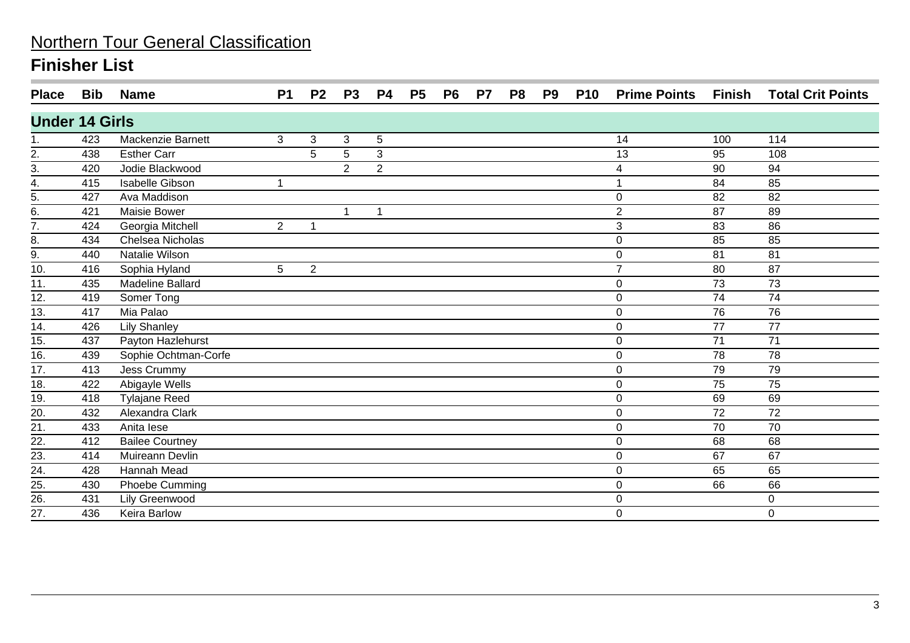| <b>Place</b>                           | Bib | <b>Name</b>             | <b>P1</b>            | P <sub>2</sub> | P <sub>3</sub> | <b>P4</b>      | P <sub>5</sub> | P <sub>6</sub> | P7 | P <sub>8</sub> | P <sub>9</sub> | <b>P10</b> | <b>Prime Points</b> | Finish | <b>Total Crit Points</b> |
|----------------------------------------|-----|-------------------------|----------------------|----------------|----------------|----------------|----------------|----------------|----|----------------|----------------|------------|---------------------|--------|--------------------------|
| <b>Under 14 Girls</b>                  |     |                         |                      |                |                |                |                |                |    |                |                |            |                     |        |                          |
|                                        | 423 | Mackenzie Barnett       | 3                    | 3              | 3              | 5              |                |                |    |                |                |            | 14                  | 100    | 114                      |
| $\frac{2}{3}$                          | 438 | <b>Esther Carr</b>      |                      | 5              | 5              | 3              |                |                |    |                |                |            | 13                  | 95     | 108                      |
|                                        | 420 | Jodie Blackwood         |                      |                | $\overline{2}$ | $\overline{2}$ |                |                |    |                |                |            | 4                   | 90     | 94                       |
|                                        | 415 | <b>Isabelle Gibson</b>  | $\blacktriangleleft$ |                |                |                |                |                |    |                |                |            |                     | 84     | 85                       |
| $\frac{4}{5}$ .<br>$\frac{5}{6}$ .     | 427 | Ava Maddison            |                      |                |                |                |                |                |    |                |                |            | $\mathbf 0$         | 82     | 82                       |
|                                        | 421 | Maisie Bower            |                      |                | -1             | $\mathbf{1}$   |                |                |    |                |                |            | $\overline{2}$      | 87     | 89                       |
| $\overline{7}$ .                       | 424 | Georgia Mitchell        | $\overline{2}$       | 1              |                |                |                |                |    |                |                |            | 3                   | 83     | 86                       |
| 8.                                     | 434 | Chelsea Nicholas        |                      |                |                |                |                |                |    |                |                |            | $\mathbf 0$         | 85     | 85                       |
| $\overline{9}$ .                       | 440 | Natalie Wilson          |                      |                |                |                |                |                |    |                |                |            | 0                   | 81     | 81                       |
| 10.                                    | 416 | Sophia Hyland           | 5                    | $\overline{2}$ |                |                |                |                |    |                |                |            | $\overline{7}$      | 80     | 87                       |
| 11.                                    | 435 | <b>Madeline Ballard</b> |                      |                |                |                |                |                |    |                |                |            | $\pmb{0}$           | 73     | 73                       |
| 12.                                    | 419 | Somer Tong              |                      |                |                |                |                |                |    |                |                |            | $\mathbf 0$         | 74     | 74                       |
| 13.                                    | 417 | Mia Palao               |                      |                |                |                |                |                |    |                |                |            | $\pmb{0}$           | 76     | 76                       |
| 14.                                    | 426 | <b>Lily Shanley</b>     |                      |                |                |                |                |                |    |                |                |            | $\mathbf 0$         | 77     | 77                       |
| 15.                                    | 437 | Payton Hazlehurst       |                      |                |                |                |                |                |    |                |                |            | $\mathbf 0$         | 71     | 71                       |
| $\overline{16}$ .                      | 439 | Sophie Ochtman-Corfe    |                      |                |                |                |                |                |    |                |                |            | $\mathbf 0$         | 78     | 78                       |
| $\overline{17}$ .                      | 413 | Jess Crummy             |                      |                |                |                |                |                |    |                |                |            | $\pmb{0}$           | 79     | 79                       |
| $\overline{18}$ .                      | 422 | Abigayle Wells          |                      |                |                |                |                |                |    |                |                |            | $\mathbf 0$         | 75     | 75                       |
| 19.                                    | 418 | <b>Tylajane Reed</b>    |                      |                |                |                |                |                |    |                |                |            | $\mathbf 0$         | 69     | 69                       |
| $\overline{20}$                        | 432 | Alexandra Clark         |                      |                |                |                |                |                |    |                |                |            | $\mathbf 0$         | 72     | 72                       |
| 21.                                    | 433 | Anita lese              |                      |                |                |                |                |                |    |                |                |            | $\pmb{0}$           | 70     | 70                       |
| $\overline{22}$ .                      | 412 | <b>Bailee Courtney</b>  |                      |                |                |                |                |                |    |                |                |            | $\pmb{0}$           | 68     | 68                       |
| 23.                                    | 414 | Muireann Devlin         |                      |                |                |                |                |                |    |                |                |            | $\pmb{0}$           | 67     | 67                       |
|                                        | 428 | Hannah Mead             |                      |                |                |                |                |                |    |                |                |            | 0                   | 65     | 65                       |
| $\frac{24}{25}$ .<br>$\frac{25}{26}$ . | 430 | Phoebe Cumming          |                      |                |                |                |                |                |    |                |                |            | $\pmb{0}$           | 66     | 66                       |
|                                        | 431 | Lily Greenwood          |                      |                |                |                |                |                |    |                |                |            | $\pmb{0}$           |        | 0                        |
| 27.                                    | 436 | Keira Barlow            |                      |                |                |                |                |                |    |                |                |            | $\mathbf 0$         |        | 0                        |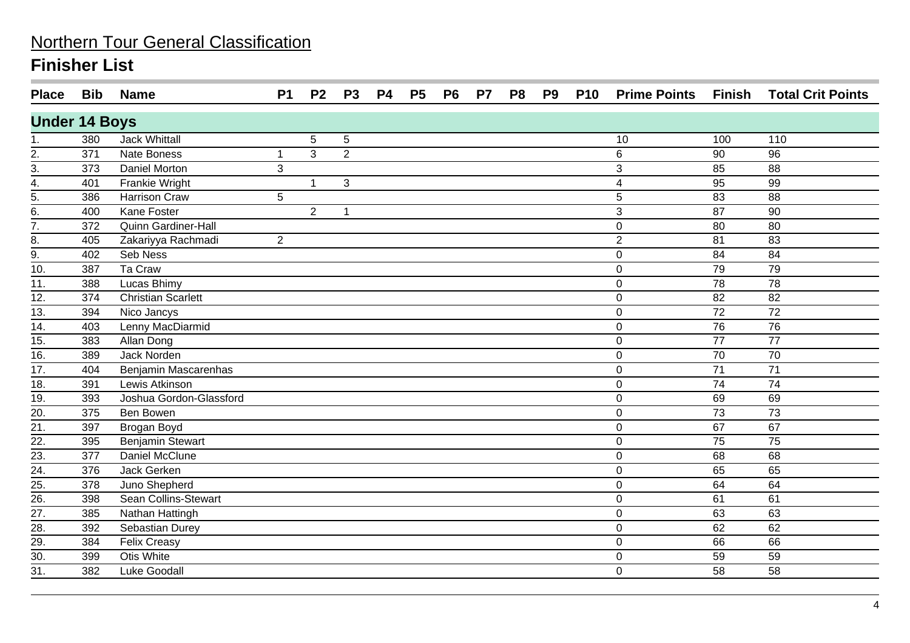| <b>Place</b>         | <b>Bib</b> | <b>Name</b>                | <b>P1</b>      | P <sub>2</sub> | <b>P3</b>            | <b>P4</b> | <b>P5</b> | P <sub>6</sub> | P7 | P <sub>8</sub> | P <sub>9</sub> | <b>P10</b> | <b>Prime Points Finish</b> |                 | <b>Total Crit Points</b> |
|----------------------|------------|----------------------------|----------------|----------------|----------------------|-----------|-----------|----------------|----|----------------|----------------|------------|----------------------------|-----------------|--------------------------|
| <b>Under 14 Boys</b> |            |                            |                |                |                      |           |           |                |    |                |                |            |                            |                 |                          |
| 1.                   | 380        | <b>Jack Whittall</b>       |                | 5              | 5                    |           |           |                |    |                |                |            | 10                         | 100             | 110                      |
| $\frac{2}{3}$        | 371        | Nate Boness                | 1              | 3              | 2                    |           |           |                |    |                |                |            | 6                          | 90              | 96                       |
|                      | 373        | <b>Daniel Morton</b>       | 3              |                |                      |           |           |                |    |                |                |            | 3                          | 85              | 88                       |
| $\overline{4}$ .     | 401        | <b>Frankie Wright</b>      |                | $\mathbf{1}$   | 3                    |           |           |                |    |                |                |            | 4                          | 95              | 99                       |
| $rac{5}{6}$          | 386        | <b>Harrison Craw</b>       | 5              |                |                      |           |           |                |    |                |                |            | 5                          | 83              | 88                       |
|                      | 400        | <b>Kane Foster</b>         |                | $\overline{2}$ | $\blacktriangleleft$ |           |           |                |    |                |                |            | 3                          | 87              | 90                       |
| $\overline{7}$ .     | 372        | <b>Quinn Gardiner-Hall</b> |                |                |                      |           |           |                |    |                |                |            | $\mathbf 0$                | 80              | 80                       |
| 8.                   | 405        | Zakariyya Rachmadi         | $\overline{2}$ |                |                      |           |           |                |    |                |                |            | $\overline{2}$             | 81              | 83                       |
| 9.                   | 402        | Seb Ness                   |                |                |                      |           |           |                |    |                |                |            | 0                          | 84              | 84                       |
| $\overline{10}$ .    | 387        | Ta Craw                    |                |                |                      |           |           |                |    |                |                |            | 0                          | 79              | 79                       |
| 11.                  | 388        | Lucas Bhimy                |                |                |                      |           |           |                |    |                |                |            | 0                          | 78              | 78                       |
| 12.                  | 374        | <b>Christian Scarlett</b>  |                |                |                      |           |           |                |    |                |                |            | 0                          | 82              | 82                       |
| 13.                  | 394        | Nico Jancys                |                |                |                      |           |           |                |    |                |                |            | $\mathbf 0$                | 72              | 72                       |
| $\overline{14}$ .    | 403        | Lenny MacDiarmid           |                |                |                      |           |           |                |    |                |                |            | $\mathbf 0$                | $\overline{76}$ | 76                       |
| 15.                  | 383        | Allan Dong                 |                |                |                      |           |           |                |    |                |                |            | $\mathbf 0$                | 77              | 77                       |
| 16.                  | 389        | <b>Jack Norden</b>         |                |                |                      |           |           |                |    |                |                |            | 0                          | 70              | 70                       |
| $\overline{17}$ .    | 404        | Benjamin Mascarenhas       |                |                |                      |           |           |                |    |                |                |            | 0                          | $\overline{71}$ | $\overline{71}$          |
| $\overline{18}$ .    | 391        | Lewis Atkinson             |                |                |                      |           |           |                |    |                |                |            | 0                          | $\overline{74}$ | $\overline{74}$          |
| $\frac{19}{20}$      | 393        | Joshua Gordon-Glassford    |                |                |                      |           |           |                |    |                |                |            | 0                          | 69              | 69                       |
|                      | 375        | <b>Ben Bowen</b>           |                |                |                      |           |           |                |    |                |                |            | $\mathbf 0$                | 73              | 73                       |
| $\overline{21}$      | 397        | Brogan Boyd                |                |                |                      |           |           |                |    |                |                |            | $\mathbf 0$                | 67              | 67                       |
| $\overline{22}$ .    | 395        | Benjamin Stewart           |                |                |                      |           |           |                |    |                |                |            | $\mathbf 0$                | 75              | 75                       |
| 23.                  | 377        | <b>Daniel McClune</b>      |                |                |                      |           |           |                |    |                |                |            | 0                          | 68              | 68                       |
| $\frac{24}{25}$      | 376        | Jack Gerken                |                |                |                      |           |           |                |    |                |                |            | 0                          | 65              | 65                       |
|                      | 378        | Juno Shepherd              |                |                |                      |           |           |                |    |                |                |            | $\mathbf 0$                | 64              | 64                       |
| $\frac{1}{26}$       | 398        | Sean Collins-Stewart       |                |                |                      |           |           |                |    |                |                |            | $\mathbf 0$                | 61              | 61                       |
| $\overline{27}$ .    | 385        | Nathan Hattingh            |                |                |                      |           |           |                |    |                |                |            | $\mathbf 0$                | 63              | 63                       |
| $\overline{28}$ .    | 392        | Sebastian Durey            |                |                |                      |           |           |                |    |                |                |            | $\mathbf 0$                | 62              | 62                       |
| $\overline{29}$ .    | 384        | <b>Felix Creasy</b>        |                |                |                      |           |           |                |    |                |                |            | 0                          | 66              | 66                       |
| $\overline{30}$ .    | 399        | <b>Otis White</b>          |                |                |                      |           |           |                |    |                |                |            | 0                          | 59              | 59                       |
| $\overline{31}$ .    | 382        | Luke Goodall               |                |                |                      |           |           |                |    |                |                |            | 0                          | 58              | 58                       |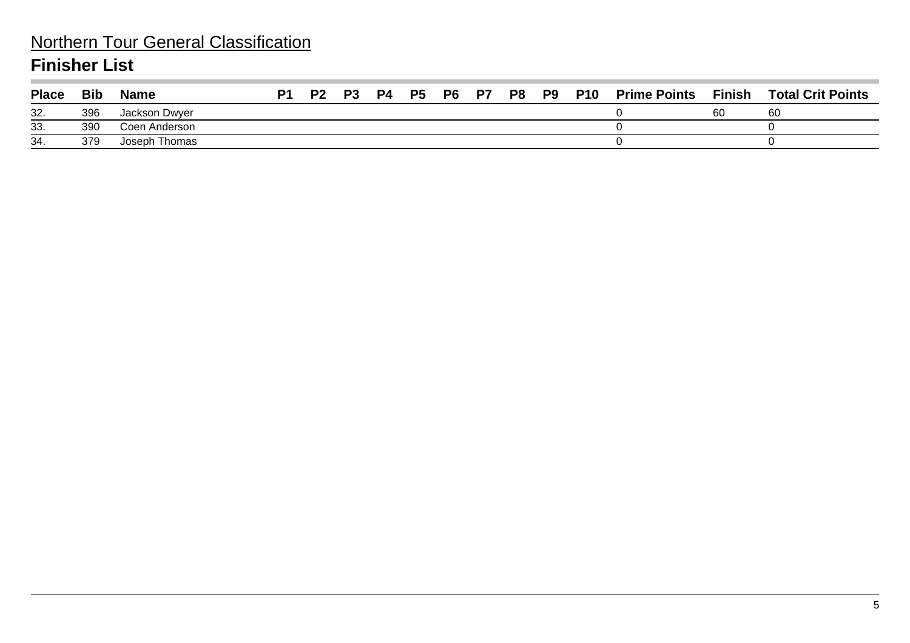### Northern Tour General Classification **Finisher List**

| <b>Place</b> | <b>Bib</b> | <b>Name</b>   | P1 | <b>P2</b> | P3 | P4 | <b>P5</b> | <b>P6 P7</b> | <b>P8 P9</b> | <b>P10</b> | <b>Prime Points</b> | <b>Finish</b> | <b>Total Crit Points</b> |
|--------------|------------|---------------|----|-----------|----|----|-----------|--------------|--------------|------------|---------------------|---------------|--------------------------|
| 32.          | 396        | Jackson Dwyer |    |           |    |    |           |              |              |            |                     | 60            | 60                       |
| 33.          | 390        | Coen Anderson |    |           |    |    |           |              |              |            |                     |               |                          |
| 34.          | 379        | Joseph Thomas |    |           |    |    |           |              |              |            |                     |               |                          |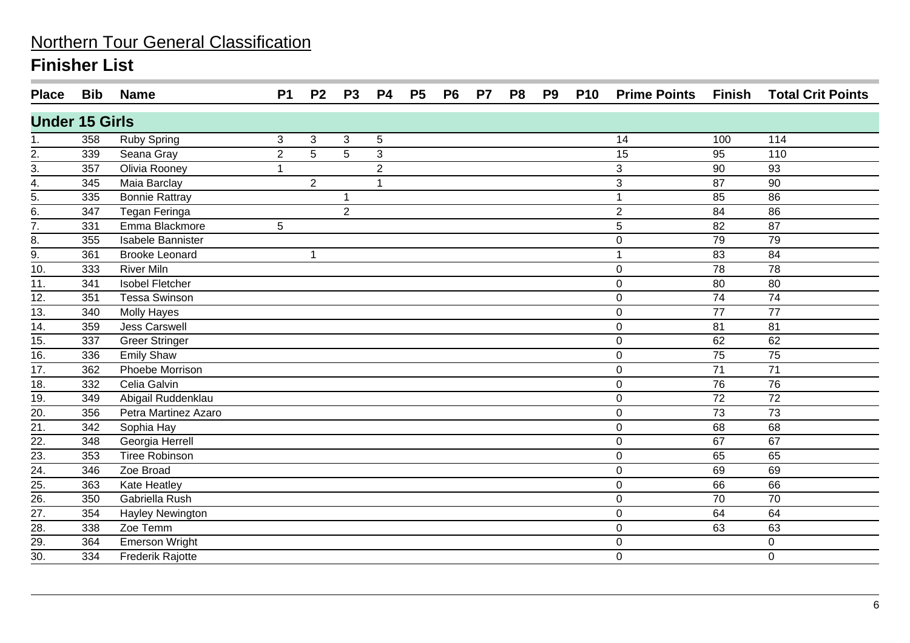| <b>Place</b>                           | Bib | <b>Name</b>            | <b>P1</b>      | P <sub>2</sub> | <b>P3</b>      | <b>P4</b>      | <b>P5</b> | <b>P6</b> | <b>P7</b> | P <sub>8</sub> | P <sub>9</sub> | <b>P10</b> | <b>Prime Points Finish</b> |                 | <b>Total Crit Points</b> |
|----------------------------------------|-----|------------------------|----------------|----------------|----------------|----------------|-----------|-----------|-----------|----------------|----------------|------------|----------------------------|-----------------|--------------------------|
| <b>Under 15 Girls</b>                  |     |                        |                |                |                |                |           |           |           |                |                |            |                            |                 |                          |
|                                        | 358 | <b>Ruby Spring</b>     | 3              | 3              | 3              | 5              |           |           |           |                |                |            | 14                         | 100             | 114                      |
| 2.                                     | 339 | Seana Gray             | $\overline{2}$ | $\overline{5}$ | $\overline{5}$ | 3              |           |           |           |                |                |            | $\overline{15}$            | 95              | 110                      |
| $\frac{3}{4}$                          | 357 | Olivia Rooney          | $\mathbf{1}$   |                |                | $\overline{2}$ |           |           |           |                |                |            | 3                          | 90              | 93                       |
|                                        | 345 | Maia Barclay           |                | $\overline{2}$ |                |                |           |           |           |                |                |            | 3                          | 87              | 90                       |
| 5.                                     | 335 | <b>Bonnie Rattray</b>  |                |                | 1              |                |           |           |           |                |                |            |                            | 85              | 86                       |
| $\overline{6}$ .                       | 347 | <b>Tegan Feringa</b>   |                |                | $\overline{2}$ |                |           |           |           |                |                |            | $\overline{2}$             | 84              | 86                       |
| $\overline{7}$ .                       | 331 | Emma Blackmore         | 5              |                |                |                |           |           |           |                |                |            | 5                          | 82              | 87                       |
| 8.                                     | 355 | Isabele Bannister      |                |                |                |                |           |           |           |                |                |            | $\mathbf 0$                | 79              | 79                       |
| $\frac{9}{10}$                         | 361 | <b>Brooke Leonard</b>  |                | 1              |                |                |           |           |           |                |                |            |                            | 83              | 84                       |
|                                        | 333 | <b>River Miln</b>      |                |                |                |                |           |           |           |                |                |            | $\mathbf 0$                | $\overline{78}$ | $\overline{78}$          |
| 11.                                    | 341 | <b>Isobel Fletcher</b> |                |                |                |                |           |           |           |                |                |            | $\mathbf 0$                | 80              | 80                       |
| $\overline{12}$ .                      | 351 | <b>Tessa Swinson</b>   |                |                |                |                |           |           |           |                |                |            | $\mathbf 0$                | 74              | $\overline{74}$          |
| $\overline{13}$ .                      | 340 | <b>Molly Hayes</b>     |                |                |                |                |           |           |           |                |                |            | $\mathbf 0$                | 77              | 77                       |
| $\overline{14}$ .                      | 359 | <b>Jess Carswell</b>   |                |                |                |                |           |           |           |                |                |            | $\mathbf 0$                | 81              | 81                       |
| 15.                                    | 337 | <b>Greer Stringer</b>  |                |                |                |                |           |           |           |                |                |            | $\mathbf 0$                | 62              | 62                       |
| 16.                                    | 336 | <b>Emily Shaw</b>      |                |                |                |                |           |           |           |                |                |            | 0                          | 75              | 75                       |
| 17.                                    | 362 | Phoebe Morrison        |                |                |                |                |           |           |           |                |                |            | $\mathbf 0$                | 71              | 71                       |
| 18.                                    | 332 | Celia Galvin           |                |                |                |                |           |           |           |                |                |            | $\mathbf 0$                | 76              | 76                       |
| 19.                                    | 349 | Abigail Ruddenklau     |                |                |                |                |           |           |           |                |                |            | $\pmb{0}$                  | 72              | 72                       |
| $\overline{20}$ .                      | 356 | Petra Martinez Azaro   |                |                |                |                |           |           |           |                |                |            | $\mathbf 0$                | $\overline{73}$ | $\overline{73}$          |
| 21.                                    | 342 | Sophia Hay             |                |                |                |                |           |           |           |                |                |            | $\mathbf 0$                | 68              | 68                       |
| $\overline{22}$ .                      | 348 | Georgia Herrell        |                |                |                |                |           |           |           |                |                |            | $\mathbf 0$                | 67              | 67                       |
| $\overline{23}$ .                      | 353 | <b>Tiree Robinson</b>  |                |                |                |                |           |           |           |                |                |            | $\mathbf 0$                | 65              | 65                       |
| $\overline{24}$ .                      | 346 | Zoe Broad              |                |                |                |                |           |           |           |                |                |            | $\mathbf 0$                | 69              | 69                       |
|                                        | 363 | <b>Kate Heatley</b>    |                |                |                |                |           |           |           |                |                |            | $\mathbf 0$                | 66              | 66                       |
| $\frac{25}{26}$<br>$\frac{26}{27}$     | 350 | Gabriella Rush         |                |                |                |                |           |           |           |                |                |            | $\mathbf 0$                | 70              | 70                       |
|                                        | 354 | Hayley Newington       |                |                |                |                |           |           |           |                |                |            | $\mathbf 0$                | 64              | 64                       |
| $\frac{28}{29}$ .<br>$\frac{29}{30}$ . | 338 | Zoe Temm               |                |                |                |                |           |           |           |                |                |            | $\mathbf 0$                | 63              | 63                       |
|                                        | 364 | <b>Emerson Wright</b>  |                |                |                |                |           |           |           |                |                |            | $\boldsymbol{0}$           |                 | $\pmb{0}$                |
|                                        | 334 | Frederik Rajotte       |                |                |                |                |           |           |           |                |                |            | $\mathbf 0$                |                 | $\mathbf 0$              |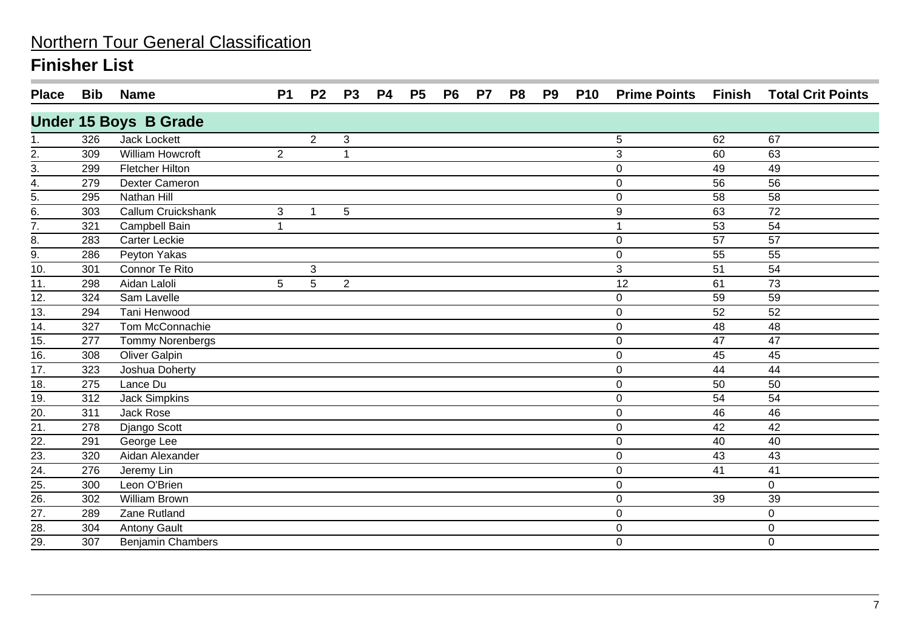| <b>Place</b>          | <b>Bib</b> | <b>Name</b>                  | <b>P1</b>      | P <sub>2</sub> | <b>P3</b>    | P4 | <b>P5</b> | P <sub>6</sub> | P7 | P <sub>8</sub> | P <sub>9</sub> | <b>P10</b> | <b>Prime Points</b> | Finish | <b>Total Crit Points</b> |
|-----------------------|------------|------------------------------|----------------|----------------|--------------|----|-----------|----------------|----|----------------|----------------|------------|---------------------|--------|--------------------------|
|                       |            | <b>Under 15 Boys B Grade</b> |                |                |              |    |           |                |    |                |                |            |                     |        |                          |
|                       | 326        | <b>Jack Lockett</b>          |                | $\overline{2}$ | $\mathbf{3}$ |    |           |                |    |                |                |            | 5                   | 62     | 67                       |
| 2.                    | 309        | William Howcroft             | $\overline{2}$ |                |              |    |           |                |    |                |                |            | 3                   | 60     | 63                       |
| $\overline{3}$ .      | 299        | <b>Fletcher Hilton</b>       |                |                |              |    |           |                |    |                |                |            | $\mathbf 0$         | 49     | 49                       |
| 4.                    | 279        | <b>Dexter Cameron</b>        |                |                |              |    |           |                |    |                |                |            | 0                   | 56     | 56                       |
| $\frac{1}{5}$ .<br>6. | 295        | Nathan Hill                  |                |                |              |    |           |                |    |                |                |            | $\mathbf 0$         | 58     | 58                       |
|                       | 303        | Callum Cruickshank           | 3              | $\mathbf{1}$   | 5            |    |           |                |    |                |                |            | 9                   | 63     | 72                       |
| $\overline{7}$ .      | 321        | <b>Campbell Bain</b>         | 1              |                |              |    |           |                |    |                |                |            |                     | 53     | 54                       |
| 8.                    | 283        | Carter Leckie                |                |                |              |    |           |                |    |                |                |            | $\mathbf 0$         | 57     | 57                       |
| 9.                    | 286        | Peyton Yakas                 |                |                |              |    |           |                |    |                |                |            | $\mathbf 0$         | 55     | 55                       |
| 10.                   | 301        | Connor Te Rito               |                | 3              |              |    |           |                |    |                |                |            | 3                   | 51     | 54                       |
| 11.                   | 298        | Aidan Laloli                 | 5              | 5              | 2            |    |           |                |    |                |                |            | 12                  | 61     | 73                       |
| 12.                   | 324        | Sam Lavelle                  |                |                |              |    |           |                |    |                |                |            | 0                   | 59     | 59                       |
| $\overline{13}$ .     | 294        | Tani Henwood                 |                |                |              |    |           |                |    |                |                |            | $\mathbf 0$         | 52     | 52                       |
| $\overline{14}$ .     | 327        | Tom McConnachie              |                |                |              |    |           |                |    |                |                |            | 0                   | 48     | 48                       |
| 15.                   | 277        | Tommy Norenbergs             |                |                |              |    |           |                |    |                |                |            | $\mathbf 0$         | 47     | 47                       |
| 16.                   | 308        | <b>Oliver Galpin</b>         |                |                |              |    |           |                |    |                |                |            | $\pmb{0}$           | 45     | 45                       |
| $\overline{17}$ .     | 323        | Joshua Doherty               |                |                |              |    |           |                |    |                |                |            | $\mathbf 0$         | 44     | 44                       |
| 18.                   | 275        | Lance Du                     |                |                |              |    |           |                |    |                |                |            | $\boldsymbol{0}$    | 50     | 50                       |
| 19.                   | 312        | <b>Jack Simpkins</b>         |                |                |              |    |           |                |    |                |                |            | $\pmb{0}$           | 54     | 54                       |
| 20.                   | 311        | Jack Rose                    |                |                |              |    |           |                |    |                |                |            | $\pmb{0}$           | 46     | 46                       |
| $\frac{1}{21}$ .      | 278        | Django Scott                 |                |                |              |    |           |                |    |                |                |            | $\mathbf 0$         | 42     | 42                       |
| 22.                   | 291        | George Lee                   |                |                |              |    |           |                |    |                |                |            | $\mathbf 0$         | 40     | 40                       |
| 23.                   | 320        | Aidan Alexander              |                |                |              |    |           |                |    |                |                |            | $\mathbf 0$         | 43     | 43                       |
| $\overline{24}$ .     | 276        | Jeremy Lin                   |                |                |              |    |           |                |    |                |                |            | $\mathbf 0$         | 41     | 41                       |
| $\overline{25}$       | 300        | Leon O'Brien                 |                |                |              |    |           |                |    |                |                |            | $\mathbf 0$         |        | $\mathbf 0$              |
| $\overline{26}$       | 302        | <b>William Brown</b>         |                |                |              |    |           |                |    |                |                |            | $\mathbf 0$         | 39     | 39                       |
| $\overline{27}$ .     | 289        | Zane Rutland                 |                |                |              |    |           |                |    |                |                |            | 0                   |        | $\mathbf 0$              |
| 28.                   | 304        | <b>Antony Gault</b>          |                |                |              |    |           |                |    |                |                |            | $\mathbf 0$         |        | $\mathbf 0$              |
| $\overline{29}$ .     | 307        | <b>Benjamin Chambers</b>     |                |                |              |    |           |                |    |                |                |            | $\mathbf 0$         |        | $\mathbf 0$              |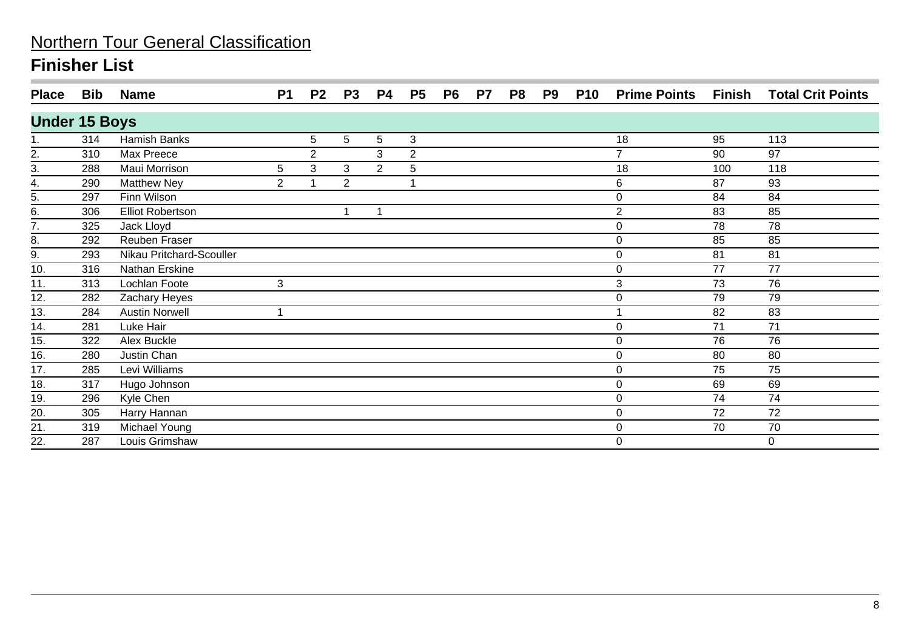| <b>Place</b>         | <b>Bib</b> | <b>Name</b>              | <b>P1</b>      | P <sub>2</sub> | P <sub>3</sub> | <b>P4</b>      | P <sub>5</sub> | P <sub>6</sub> | P7 | P <sub>8</sub> | P <sub>9</sub> | <b>P10</b> | <b>Prime Points</b> | Finish | <b>Total Crit Points</b> |
|----------------------|------------|--------------------------|----------------|----------------|----------------|----------------|----------------|----------------|----|----------------|----------------|------------|---------------------|--------|--------------------------|
| <b>Under 15 Boys</b> |            |                          |                |                |                |                |                |                |    |                |                |            |                     |        |                          |
|                      | 314        | Hamish Banks             |                | 5              | 5              | 5              | 3              |                |    |                |                |            | 18                  | 95     | 113                      |
| 2.                   | 310        | Max Preece               |                | $\overline{2}$ |                | 3              | $\overline{c}$ |                |    |                |                |            | $\overline{7}$      | 90     | 97                       |
| 3.                   | 288        | Maui Morrison            | 5              | 3              | 3              | $\overline{2}$ | 5              |                |    |                |                |            | 18                  | 100    | 118                      |
| 4.                   | 290        | <b>Matthew Ney</b>       | $\overline{2}$ |                | $\overline{2}$ |                |                |                |    |                |                |            | 6                   | 87     | 93                       |
| $\overline{5}$ .     | 297        | Finn Wilson              |                |                |                |                |                |                |    |                |                |            | 0                   | 84     | 84                       |
| $\frac{6}{6}$ .      | 306        | Elliot Robertson         |                |                | 1              |                |                |                |    |                |                |            | $\mathbf{2}$        | 83     | 85                       |
|                      | 325        | Jack Lloyd               |                |                |                |                |                |                |    |                |                |            | $\mathbf 0$         | 78     | 78                       |
| 8.                   | 292        | Reuben Fraser            |                |                |                |                |                |                |    |                |                |            | $\pmb{0}$           | 85     | 85                       |
| 9.                   | 293        | Nikau Pritchard-Scouller |                |                |                |                |                |                |    |                |                |            | $\pmb{0}$           | 81     | 81                       |
| 10.                  | 316        | Nathan Erskine           |                |                |                |                |                |                |    |                |                |            | $\pmb{0}$           | 77     | $\overline{77}$          |
| 11.                  | 313        | Lochlan Foote            | 3              |                |                |                |                |                |    |                |                |            | 3                   | 73     | 76                       |
| 12.                  | 282        | Zachary Heyes            |                |                |                |                |                |                |    |                |                |            | 0                   | 79     | 79                       |
| 13.                  | 284        | <b>Austin Norwell</b>    |                |                |                |                |                |                |    |                |                |            |                     | 82     | 83                       |
| 14.                  | 281        | Luke Hair                |                |                |                |                |                |                |    |                |                |            | 0                   | 71     | 71                       |
| 15.                  | 322        | Alex Buckle              |                |                |                |                |                |                |    |                |                |            | 0                   | 76     | 76                       |
| 16.                  | 280        | Justin Chan              |                |                |                |                |                |                |    |                |                |            | $\pmb{0}$           | 80     | 80                       |
| 17.                  | 285        | Levi Williams            |                |                |                |                |                |                |    |                |                |            | 0                   | 75     | 75                       |
| 18.                  | 317        | Hugo Johnson             |                |                |                |                |                |                |    |                |                |            | $\mathbf 0$         | 69     | 69                       |
| 19.                  | 296        | Kyle Chen                |                |                |                |                |                |                |    |                |                |            | $\mathbf 0$         | 74     | 74                       |
| 20.                  | 305        | Harry Hannan             |                |                |                |                |                |                |    |                |                |            | 0                   | 72     | 72                       |
| 21.                  | 319        | Michael Young            |                |                |                |                |                |                |    |                |                |            | 0                   | 70     | 70                       |
| 22.                  | 287        | Louis Grimshaw           |                |                |                |                |                |                |    |                |                |            | 0                   |        | 0                        |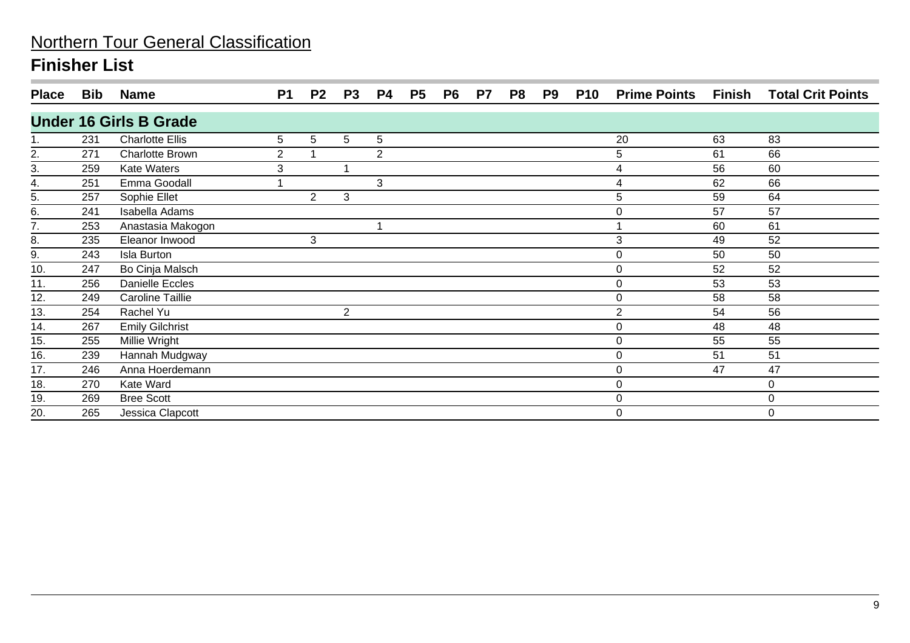| <b>Place</b>     | <b>Bib</b> | <b>Name</b>                   | P <sub>1</sub> | P2             | <b>P3</b>      | <b>P4</b>      | <b>P5</b> | P <sub>6</sub> | <b>P7</b> | P8 | P9 | <b>P10</b> | <b>Prime Points Finish</b> |    | <b>Total Crit Points</b> |
|------------------|------------|-------------------------------|----------------|----------------|----------------|----------------|-----------|----------------|-----------|----|----|------------|----------------------------|----|--------------------------|
|                  |            | <b>Under 16 Girls B Grade</b> |                |                |                |                |           |                |           |    |    |            |                            |    |                          |
|                  | 231        | <b>Charlotte Ellis</b>        | 5              | 5              | 5              | 5              |           |                |           |    |    |            | 20                         | 63 | 83                       |
| 2.               | 271        | <b>Charlotte Brown</b>        | $\overline{2}$ |                |                | $\overline{2}$ |           |                |           |    |    |            | 5                          | 61 | 66                       |
| $\overline{3}$ . | 259        | <b>Kate Waters</b>            | 3              |                |                |                |           |                |           |    |    |            | 4                          | 56 | 60                       |
| 4.               | 251        | Emma Goodall                  |                |                |                | 3              |           |                |           |    |    |            | 4                          | 62 | 66                       |
| 5.               | 257        | Sophie Ellet                  |                | $\overline{2}$ | 3              |                |           |                |           |    |    |            | 5                          | 59 | 64                       |
| 6.               | 241        | Isabella Adams                |                |                |                |                |           |                |           |    |    |            | 0                          | 57 | 57                       |
| 7.               | 253        | Anastasia Makogon             |                |                |                |                |           |                |           |    |    |            |                            | 60 | 61                       |
| 8.               | 235        | Eleanor Inwood                |                | 3              |                |                |           |                |           |    |    |            | 3                          | 49 | 52                       |
| 9.               | 243        | Isla Burton                   |                |                |                |                |           |                |           |    |    |            | $\pmb{0}$                  | 50 | 50                       |
| 10.              | 247        | Bo Cinja Malsch               |                |                |                |                |           |                |           |    |    |            | 0                          | 52 | 52                       |
| 11.              | 256        | <b>Danielle Eccles</b>        |                |                |                |                |           |                |           |    |    |            | 0                          | 53 | 53                       |
| 12.              | 249        | Caroline Taillie              |                |                |                |                |           |                |           |    |    |            | 0                          | 58 | 58                       |
| 13.              | 254        | Rachel Yu                     |                |                | $\overline{2}$ |                |           |                |           |    |    |            | $\overline{2}$             | 54 | 56                       |
| 14.              | 267        | <b>Emily Gilchrist</b>        |                |                |                |                |           |                |           |    |    |            | $\pmb{0}$                  | 48 | 48                       |
| 15.              | 255        | Millie Wright                 |                |                |                |                |           |                |           |    |    |            | 0                          | 55 | 55                       |
| 16.              | 239        | Hannah Mudgway                |                |                |                |                |           |                |           |    |    |            | 0                          | 51 | 51                       |
| 17.              | 246        | Anna Hoerdemann               |                |                |                |                |           |                |           |    |    |            | 0                          | 47 | 47                       |
| 18.              | 270        | Kate Ward                     |                |                |                |                |           |                |           |    |    |            | 0                          |    | 0                        |
| 19.              | 269        | <b>Bree Scott</b>             |                |                |                |                |           |                |           |    |    |            | 0                          |    | 0                        |
| 20.              | 265        | Jessica Clapcott              |                |                |                |                |           |                |           |    |    |            | $\mathbf 0$                |    | $\Omega$                 |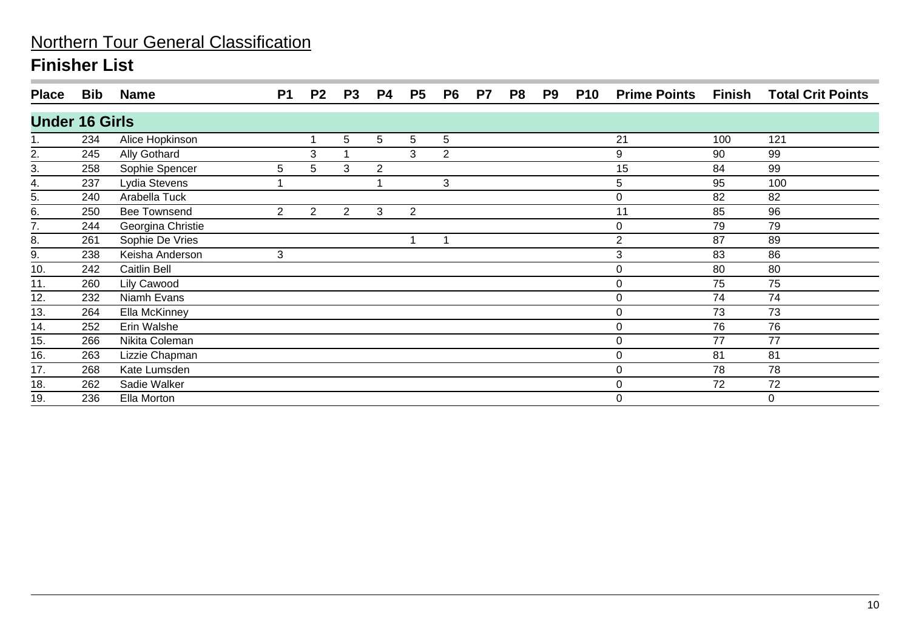| <b>Place</b>          | Bib | <b>Name</b>         | <b>P1</b>      | P <sub>2</sub> | <b>P3</b>      | <b>P4</b>      | <b>P5</b>      | P <sub>6</sub>  | P7 | P8 | P9 | <b>P10</b> | <b>Prime Points</b> | Finish | <b>Total Crit Points</b> |
|-----------------------|-----|---------------------|----------------|----------------|----------------|----------------|----------------|-----------------|----|----|----|------------|---------------------|--------|--------------------------|
| <b>Under 16 Girls</b> |     |                     |                |                |                |                |                |                 |    |    |    |            |                     |        |                          |
|                       | 234 | Alice Hopkinson     |                |                | 5              | 5              | 5              | $5\phantom{.0}$ |    |    |    |            | 21                  | 100    | 121                      |
| $\overline{2}$ .      | 245 | Ally Gothard        |                | 3              |                |                | 3              | 2               |    |    |    |            | 9                   | 90     | 99                       |
| 3.                    | 258 | Sophie Spencer      | 5              | 5              | 3              | $\overline{2}$ |                |                 |    |    |    |            | 15                  | 84     | 99                       |
| 4.                    | 237 | Lydia Stevens       |                |                |                |                |                | 3               |    |    |    |            | 5                   | 95     | 100                      |
| 5.                    | 240 | Arabella Tuck       |                |                |                |                |                |                 |    |    |    |            | 0                   | 82     | 82                       |
| 6.                    | 250 | <b>Bee Townsend</b> | $\overline{2}$ | $\overline{2}$ | $\overline{2}$ | 3              | $\overline{2}$ |                 |    |    |    |            | 11                  | 85     | 96                       |
| 7.                    | 244 | Georgina Christie   |                |                |                |                |                |                 |    |    |    |            | 0                   | 79     | 79                       |
| 8.                    | 261 | Sophie De Vries     |                |                |                |                |                |                 |    |    |    |            | $\overline{2}$      | 87     | 89                       |
| $\underline{9}$ .     | 238 | Keisha Anderson     | 3              |                |                |                |                |                 |    |    |    |            | 3                   | 83     | 86                       |
| 10.                   | 242 | Caitlin Bell        |                |                |                |                |                |                 |    |    |    |            | 0                   | 80     | 80                       |
| 11.                   | 260 | Lily Cawood         |                |                |                |                |                |                 |    |    |    |            | 0                   | 75     | 75                       |
| 12.                   | 232 | Niamh Evans         |                |                |                |                |                |                 |    |    |    |            | 0                   | 74     | 74                       |
| 13.                   | 264 | Ella McKinney       |                |                |                |                |                |                 |    |    |    |            | $\boldsymbol{0}$    | 73     | 73                       |
| 14.                   | 252 | Erin Walshe         |                |                |                |                |                |                 |    |    |    |            | 0                   | 76     | 76                       |
| 15.                   | 266 | Nikita Coleman      |                |                |                |                |                |                 |    |    |    |            | 0                   | 77     | 77                       |
| 16.                   | 263 | Lizzie Chapman      |                |                |                |                |                |                 |    |    |    |            | $\boldsymbol{0}$    | 81     | 81                       |
| 17.                   | 268 | Kate Lumsden        |                |                |                |                |                |                 |    |    |    |            | 0                   | 78     | 78                       |
| 18.                   | 262 | Sadie Walker        |                |                |                |                |                |                 |    |    |    |            | 0                   | 72     | 72                       |
| 19.                   | 236 | Ella Morton         |                |                |                |                |                |                 |    |    |    |            | 0                   |        | 0                        |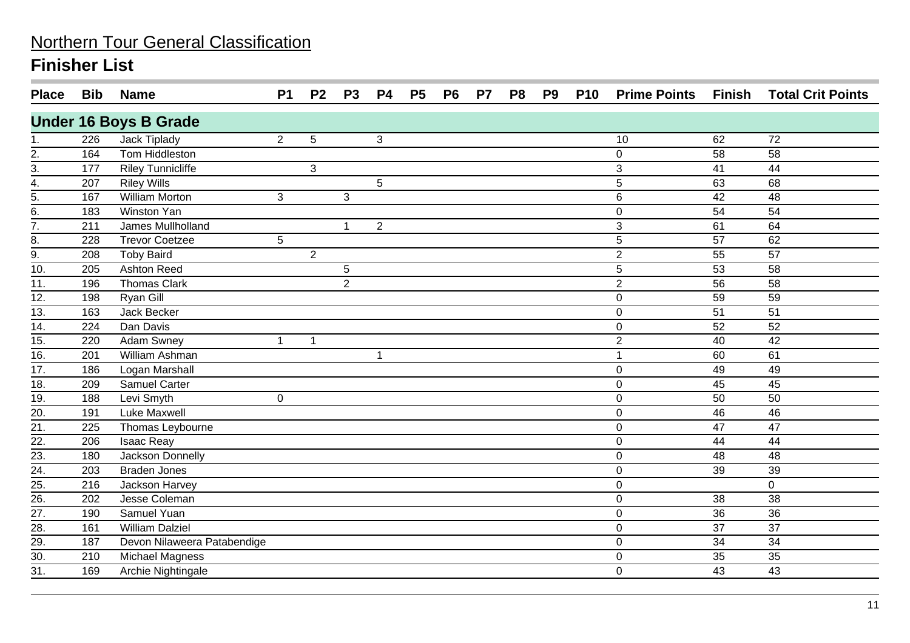| <b>Place</b>      | <b>Bib</b> | <b>Name</b>                  | <b>P1</b>      | P <sub>2</sub> | <b>P3</b>      | <b>P4</b>      | <b>P5</b> | <b>P6</b> | P <sub>7</sub> | P <sub>8</sub> | P <sub>9</sub> | <b>P10</b> | <b>Prime Points Finish</b> |    | <b>Total Crit Points</b> |
|-------------------|------------|------------------------------|----------------|----------------|----------------|----------------|-----------|-----------|----------------|----------------|----------------|------------|----------------------------|----|--------------------------|
|                   |            | <b>Under 16 Boys B Grade</b> |                |                |                |                |           |           |                |                |                |            |                            |    |                          |
| 1.                | 226        | Jack Tiplady                 | $\overline{2}$ | 5              |                | 3              |           |           |                |                |                |            | 10                         | 62 | 72                       |
|                   | 164        | Tom Hiddleston               |                |                |                |                |           |           |                |                |                |            | $\boldsymbol{0}$           | 58 | 58                       |
| $\frac{2}{3}$     | 177        | <b>Riley Tunnicliffe</b>     |                | 3              |                |                |           |           |                |                |                |            | $\overline{3}$             | 41 | 44                       |
| $\overline{4}$ .  | 207        | <b>Riley Wills</b>           |                |                |                | 5              |           |           |                |                |                |            | 5                          | 63 | 68                       |
| $rac{5}{6}$       | 167        | <b>William Morton</b>        | $\mathfrak{S}$ |                | 3              |                |           |           |                |                |                |            | 6                          | 42 | 48                       |
|                   | 183        | Winston Yan                  |                |                |                |                |           |           |                |                |                |            | $\pmb{0}$                  | 54 | 54                       |
| $\overline{7}$ .  | 211        | James Mullholland            |                |                | 1              | $\overline{2}$ |           |           |                |                |                |            | 3                          | 61 | 64                       |
| 8.                | 228        | Trevor Coetzee               | 5              |                |                |                |           |           |                |                |                |            | 5                          | 57 | 62                       |
| 9.                | 208        | <b>Toby Baird</b>            |                | $\overline{2}$ |                |                |           |           |                |                |                |            | $\overline{2}$             | 55 | 57                       |
| 10.               | 205        | <b>Ashton Reed</b>           |                |                | 5              |                |           |           |                |                |                |            | 5                          | 53 | 58                       |
| $\overline{11}$ . | 196        | <b>Thomas Clark</b>          |                |                | $\overline{2}$ |                |           |           |                |                |                |            | $\overline{2}$             | 56 | 58                       |
| $\overline{12}$ . | 198        | Ryan Gill                    |                |                |                |                |           |           |                |                |                |            | $\mathbf 0$                | 59 | $\overline{59}$          |
| 13.               | 163        | Jack Becker                  |                |                |                |                |           |           |                |                |                |            | $\mathbf 0$                | 51 | 51                       |
| $\overline{14}$ . | 224        | Dan Davis                    |                |                |                |                |           |           |                |                |                |            | $\mathbf 0$                | 52 | 52                       |
| 15.               | 220        | <b>Adam Swney</b>            | $\mathbf{1}$   | 1              |                |                |           |           |                |                |                |            | $\overline{2}$             | 40 | 42                       |
| $\overline{16}$ . | 201        | William Ashman               |                |                |                | $\mathbf 1$    |           |           |                |                |                |            | 1                          | 60 | 61                       |
| 17.               | 186        | Logan Marshall               |                |                |                |                |           |           |                |                |                |            | $\Omega$                   | 49 | 49                       |
| 18.               | 209        | Samuel Carter                |                |                |                |                |           |           |                |                |                |            | $\mathbf 0$                | 45 | 45                       |
| 19.               | 188        | Levi Smyth                   | $\mathbf 0$    |                |                |                |           |           |                |                |                |            | $\mathbf 0$                | 50 | 50                       |
| 20.               | 191        | <b>Luke Maxwell</b>          |                |                |                |                |           |           |                |                |                |            | $\mathbf 0$                | 46 | 46                       |
| 21.               | 225        | Thomas Leybourne             |                |                |                |                |           |           |                |                |                |            | $\mathbf 0$                | 47 | 47                       |
| 22.               | 206        | <b>Isaac Reay</b>            |                |                |                |                |           |           |                |                |                |            | 0                          | 44 | 44                       |
| 23.               | 180        | <b>Jackson Donnelly</b>      |                |                |                |                |           |           |                |                |                |            | $\mathbf 0$                | 48 | 48                       |
| $\overline{24}$ . | 203        | <b>Braden Jones</b>          |                |                |                |                |           |           |                |                |                |            | $\pmb{0}$                  | 39 | 39                       |
| 25.               | 216        | Jackson Harvey               |                |                |                |                |           |           |                |                |                |            | $\pmb{0}$                  |    | $\mathbf 0$              |
| $\overline{26}$ . | 202        | Jesse Coleman                |                |                |                |                |           |           |                |                |                |            | $\pmb{0}$                  | 38 | 38                       |
| 27.               | 190        | Samuel Yuan                  |                |                |                |                |           |           |                |                |                |            | $\pmb{0}$                  | 36 | 36                       |
| 28.               | 161        | <b>William Dalziel</b>       |                |                |                |                |           |           |                |                |                |            | $\boldsymbol{0}$           | 37 | 37                       |
| $\overline{29}$ . | 187        | Devon Nilaweera Patabendige  |                |                |                |                |           |           |                |                |                |            | $\pmb{0}$                  | 34 | $\overline{34}$          |
| 30.               | 210        | <b>Michael Magness</b>       |                |                |                |                |           |           |                |                |                |            | $\mathbf 0$                | 35 | 35                       |
| 31.               | 169        | Archie Nightingale           |                |                |                |                |           |           |                |                |                |            | $\mathbf 0$                | 43 | 43                       |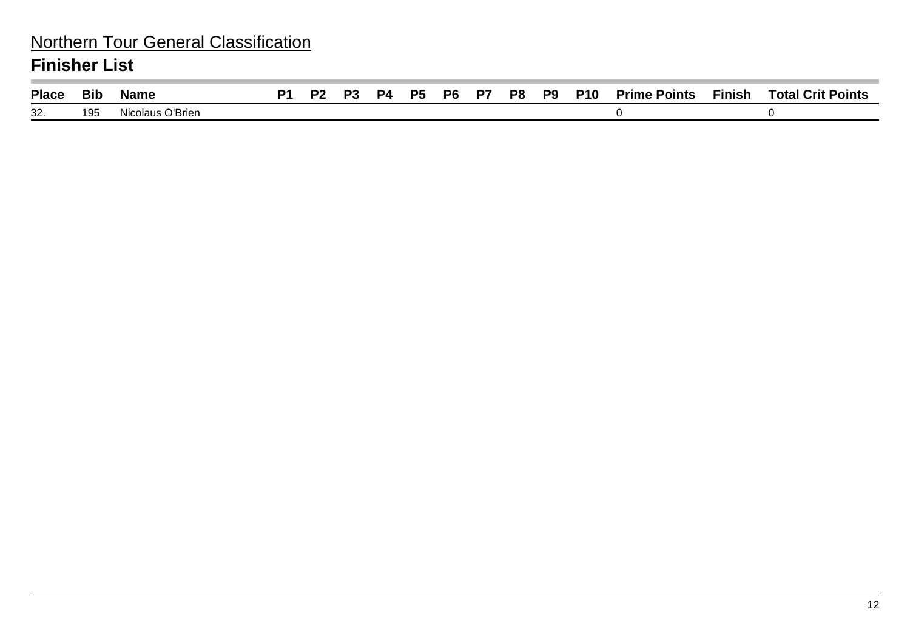### Northern Tour General Classification **Finisher List**

| <b>Place</b> | <b>Bit</b> | Name                  | D/ | פם | P4. | <b>P5</b> | P6 | P7 | P8 | P <sub>9</sub> | <b>P10</b> | <b>Prime Points</b> | <b>Finish</b> | <b>Total Crit Points</b> |
|--------------|------------|-----------------------|----|----|-----|-----------|----|----|----|----------------|------------|---------------------|---------------|--------------------------|
| 32           | 195        | ∩ O'Brien<br>Nicolaus |    |    |     |           |    |    |    |                |            |                     |               |                          |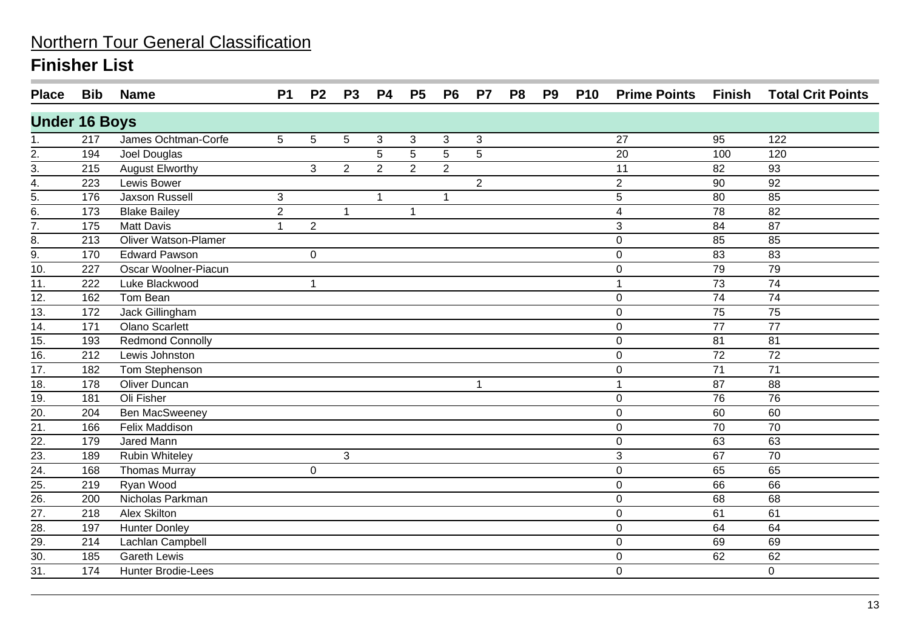| <b>Place</b>             | <b>Bib</b> | <b>Name</b>                 | <b>P1</b>      | P <sub>2</sub> | <b>P3</b>      | <b>P4</b>      | <b>P5</b>      | P <sub>6</sub> | <b>P7</b>      | P <sub>8</sub> | P <sub>9</sub> | <b>P10</b> | <b>Prime Points Finish</b> |                 | <b>Total Crit Points</b> |
|--------------------------|------------|-----------------------------|----------------|----------------|----------------|----------------|----------------|----------------|----------------|----------------|----------------|------------|----------------------------|-----------------|--------------------------|
| <b>Under 16 Boys</b>     |            |                             |                |                |                |                |                |                |                |                |                |            |                            |                 |                          |
| 1.                       | 217        | James Ochtman-Corfe         | 5              | 5              | 5              | 3              | 3              | 3              | 3              |                |                |            | 27                         | 95              | 122                      |
| $\stackrel{2}{-}$        | 194        | Joel Douglas                |                |                |                | 5              | 5              | 5              | 5              |                |                |            | 20                         | 100             | 120                      |
| $\frac{3}{4}$ .          | 215        | <b>August Elworthy</b>      |                | 3              | $\overline{2}$ | $\overline{2}$ | $\overline{2}$ | $\overline{2}$ |                |                |                |            | 11                         | 82              | 93                       |
|                          | 223        | Lewis Bower                 |                |                |                |                |                |                | $\overline{2}$ |                |                |            | $\overline{2}$             | 90              | 92                       |
| $\overline{5}$ .         | 176        | Jaxson Russell              | $\mathfrak{B}$ |                |                | 1              |                | $\mathbf 1$    |                |                |                |            | 5                          | 80              | 85                       |
| 6.                       | 173        | <b>Blake Bailey</b>         | $\overline{2}$ |                | $\mathbf{1}$   |                | $\mathbf 1$    |                |                |                |                |            | 4                          | 78              | 82                       |
| $\overline{7}$ .         | 175        | <b>Matt Davis</b>           | $\mathbf{1}$   | $\overline{2}$ |                |                |                |                |                |                |                |            | 3                          | 84              | $\overline{87}$          |
| 8.                       | 213        | <b>Oliver Watson-Plamer</b> |                |                |                |                |                |                |                |                |                |            | $\mathbf 0$                | 85              | 85                       |
| 9.                       | 170        | <b>Edward Pawson</b>        |                | 0              |                |                |                |                |                |                |                |            | $\mathbf 0$                | 83              | 83                       |
| $\overline{10}$          | 227        | Oscar Woolner-Piacun        |                |                |                |                |                |                |                |                |                |            | 0                          | 79              | 79                       |
| 11.                      | 222        | Luke Blackwood              |                | $\mathbf{1}$   |                |                |                |                |                |                |                |            |                            | 73              | 74                       |
| $\overline{12}$ .        | 162        | Tom Bean                    |                |                |                |                |                |                |                |                |                |            | $\mathbf 0$                | 74              | $\overline{74}$          |
| 13.                      | 172        | Jack Gillingham             |                |                |                |                |                |                |                |                |                |            | $\mathbf 0$                | 75              | 75                       |
| $\overline{14}$ .        | 171        | <b>Olano Scarlett</b>       |                |                |                |                |                |                |                |                |                |            | $\mathbf 0$                | $\overline{77}$ | $\overline{77}$          |
| 15.                      | 193        | <b>Redmond Connolly</b>     |                |                |                |                |                |                |                |                |                |            | $\mathbf 0$                | 81              | 81                       |
| $\overline{16}$ .        | 212        | Lewis Johnston              |                |                |                |                |                |                |                |                |                |            | 0                          | 72              | 72                       |
| 17.                      | 182        | Tom Stephenson              |                |                |                |                |                |                |                |                |                |            | 0                          | 71              | 71                       |
| $\overline{18}$ .        | 178        | <b>Oliver Duncan</b>        |                |                |                |                |                |                | $\mathbf{1}$   |                |                |            |                            | 87              | 88                       |
| 19.                      | 181        | <b>Oli Fisher</b>           |                |                |                |                |                |                |                |                |                |            | $\mathbf 0$                | 76              | 76                       |
| 20.                      | 204        | <b>Ben MacSweeney</b>       |                |                |                |                |                |                |                |                |                |            | 0                          | 60              | 60                       |
| 21.                      | 166        | Felix Maddison              |                |                |                |                |                |                |                |                |                |            | $\mathbf 0$                | 70              | 70                       |
| $\overline{22}$ .        | 179        | <b>Jared Mann</b>           |                |                |                |                |                |                |                |                |                |            | 0                          | 63              | 63                       |
| $\overline{23}$ .        | 189        | <b>Rubin Whiteley</b>       |                |                | 3              |                |                |                |                |                |                |            | 3                          | 67              | 70                       |
| $\overline{24}$ .        | 168        | <b>Thomas Murray</b>        |                | 0              |                |                |                |                |                |                |                |            | $\Omega$                   | 65              | 65                       |
| $\frac{21}{25}$ .<br>26. | 219        | Ryan Wood                   |                |                |                |                |                |                |                |                |                |            | 0                          | 66              | 66                       |
|                          | 200        | Nicholas Parkman            |                |                |                |                |                |                |                |                |                |            | 0                          | 68              | 68                       |
| $\overline{27}$ .        | 218        | <b>Alex Skilton</b>         |                |                |                |                |                |                |                |                |                |            | $\mathbf 0$                | 61              | 61                       |
| 28.                      | 197        | <b>Hunter Donley</b>        |                |                |                |                |                |                |                |                |                |            | 0                          | 64              | 64                       |
| $\overline{29}$ .        | 214        | Lachlan Campbell            |                |                |                |                |                |                |                |                |                |            | 0                          | 69              | 69                       |
| $\overline{30}$ .        | 185        | <b>Gareth Lewis</b>         |                |                |                |                |                |                |                |                |                |            | $\overline{0}$             | 62              | 62                       |
| 31.                      | 174        | <b>Hunter Brodie-Lees</b>   |                |                |                |                |                |                |                |                |                |            | 0                          |                 | $\mathbf 0$              |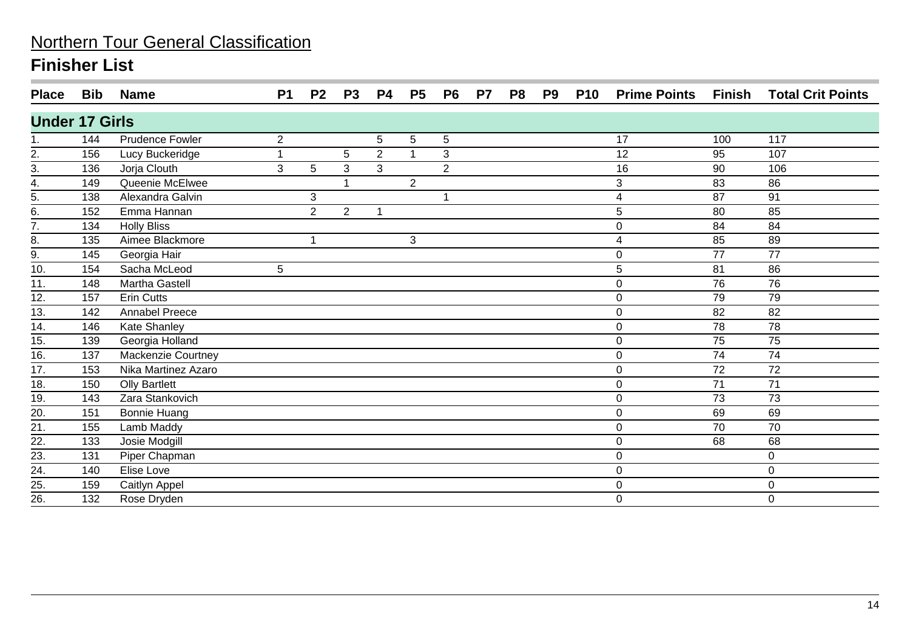| <b>Place</b>          | Bib | <b>Name</b>            | P <sub>1</sub> | P <sub>2</sub> | P <sub>3</sub> | P4             | P <sub>5</sub> | P <sub>6</sub> | P7 | P <sub>8</sub> | P <sub>9</sub> | <b>P10</b> | <b>Prime Points</b> | Finish          | <b>Total Crit Points</b> |
|-----------------------|-----|------------------------|----------------|----------------|----------------|----------------|----------------|----------------|----|----------------|----------------|------------|---------------------|-----------------|--------------------------|
| <b>Under 17 Girls</b> |     |                        |                |                |                |                |                |                |    |                |                |            |                     |                 |                          |
|                       | 144 | <b>Prudence Fowler</b> | $\overline{2}$ |                |                | 5              | 5              | $\sqrt{5}$     |    |                |                |            | 17                  | 100             | 117                      |
|                       | 156 | Lucy Buckeridge        | 1              |                | 5              | $\overline{2}$ |                | 3              |    |                |                |            | 12                  | 95              | 107                      |
| $\frac{2}{3}$         | 136 | Jorja Clouth           | 3              | 5              | 3              | 3              |                | $\overline{2}$ |    |                |                |            | 16                  | 90              | 106                      |
| 4.                    | 149 | Queenie McElwee        |                |                |                |                | $\overline{2}$ |                |    |                |                |            | 3                   | 83              | 86                       |
| 5.                    | 138 | Alexandra Galvin       |                | 3              |                |                |                | -1             |    |                |                |            | 4                   | 87              | 91                       |
| 6.                    | 152 | Emma Hannan            |                | $\overline{2}$ | $2^{\circ}$    | 1              |                |                |    |                |                |            | 5                   | 80              | 85                       |
| $\overline{7}$ .      | 134 | <b>Holly Bliss</b>     |                |                |                |                |                |                |    |                |                |            | $\pmb{0}$           | 84              | 84                       |
| 8.                    | 135 | Aimee Blackmore        |                |                |                |                | 3              |                |    |                |                |            | 4                   | 85              | 89                       |
| 9.                    | 145 | Georgia Hair           |                |                |                |                |                |                |    |                |                |            | $\pmb{0}$           | 77              | 77                       |
| 10.                   | 154 | Sacha McLeod           | 5              |                |                |                |                |                |    |                |                |            | 5                   | 81              | 86                       |
| 11.                   | 148 | Martha Gastell         |                |                |                |                |                |                |    |                |                |            | $\mathbf 0$         | 76              | 76                       |
| $\overline{12}$ .     | 157 | <b>Erin Cutts</b>      |                |                |                |                |                |                |    |                |                |            | $\mathbf 0$         | 79              | $\overline{79}$          |
| $\overline{13}$ .     | 142 | <b>Annabel Preece</b>  |                |                |                |                |                |                |    |                |                |            | 0                   | 82              | 82                       |
| 14.                   | 146 | Kate Shanley           |                |                |                |                |                |                |    |                |                |            | $\mathbf 0$         | 78              | $\overline{78}$          |
| 15.                   | 139 | Georgia Holland        |                |                |                |                |                |                |    |                |                |            | $\mathbf 0$         | 75              | 75                       |
| 16.                   | 137 | Mackenzie Courtney     |                |                |                |                |                |                |    |                |                |            | $\pmb{0}$           | 74              | 74                       |
| 17.                   | 153 | Nika Martinez Azaro    |                |                |                |                |                |                |    |                |                |            | $\pmb{0}$           | 72              | 72                       |
| $\overline{18}$ .     | 150 | <b>Olly Bartlett</b>   |                |                |                |                |                |                |    |                |                |            | $\pmb{0}$           | $\overline{71}$ | $\overline{71}$          |
| 19.                   | 143 | Zara Stankovich        |                |                |                |                |                |                |    |                |                |            | 0                   | 73              | 73                       |
| $\overline{20}$       | 151 | <b>Bonnie Huang</b>    |                |                |                |                |                |                |    |                |                |            | $\pmb{0}$           | 69              | 69                       |
| 21.                   | 155 | Lamb Maddy             |                |                |                |                |                |                |    |                |                |            | $\pmb{0}$           | 70              | 70                       |
| 22.                   | 133 | Josie Modgill          |                |                |                |                |                |                |    |                |                |            | $\mathbf 0$         | 68              | 68                       |
|                       | 131 | Piper Chapman          |                |                |                |                |                |                |    |                |                |            | $\pmb{0}$           |                 | 0                        |
| $\frac{23}{24}$       | 140 | Elise Love             |                |                |                |                |                |                |    |                |                |            | $\mathbf 0$         |                 | $\mathbf 0$              |
| $\frac{25}{26}$       | 159 | Caitlyn Appel          |                |                |                |                |                |                |    |                |                |            | $\mathbf 0$         |                 | 0                        |
|                       | 132 | Rose Dryden            |                |                |                |                |                |                |    |                |                |            | $\mathbf 0$         |                 | 0                        |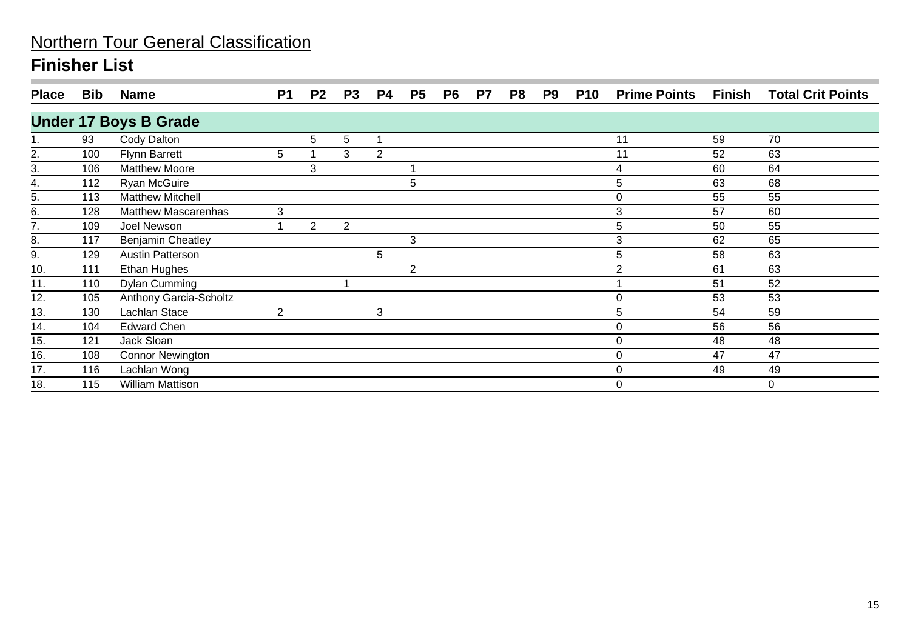| <b>Place</b> | <b>Bib</b> | <b>Name</b>                  | <b>P1</b>      | P <sub>2</sub> | <b>P3</b> | <b>P4</b> | P <sub>5</sub> | P <sub>6</sub> | P7 | P <sub>8</sub> | P9 | <b>P10</b> | <b>Prime Points</b> | <b>Finish</b> | <b>Total Crit Points</b> |
|--------------|------------|------------------------------|----------------|----------------|-----------|-----------|----------------|----------------|----|----------------|----|------------|---------------------|---------------|--------------------------|
|              |            | <b>Under 17 Boys B Grade</b> |                |                |           |           |                |                |    |                |    |            |                     |               |                          |
|              | 93         | Cody Dalton                  |                | 5              | 5         |           |                |                |    |                |    |            | 11                  | 59            | 70                       |
| 2.           | 100        | <b>Flynn Barrett</b>         | 5              |                | 3         | 2         |                |                |    |                |    |            | 11                  | 52            | 63                       |
| 3.           | 106        | <b>Matthew Moore</b>         |                | 3              |           |           |                |                |    |                |    |            | 4                   | 60            | 64                       |
| 4.           | 112        | Ryan McGuire                 |                |                |           |           | 5              |                |    |                |    |            | 5                   | 63            | 68                       |
| 5.           | 113        | <b>Matthew Mitchell</b>      |                |                |           |           |                |                |    |                |    |            | 0                   | 55            | 55                       |
| 6.           | 128        | <b>Matthew Mascarenhas</b>   | 3              |                |           |           |                |                |    |                |    |            | 3                   | 57            | 60                       |
| 7.           | 109        | Joel Newson                  |                | $\overline{2}$ | 2         |           |                |                |    |                |    |            | 5                   | 50            | 55                       |
| 8.           | 117        | <b>Benjamin Cheatley</b>     |                |                |           |           | 3              |                |    |                |    |            | 3                   | 62            | 65                       |
| 9.           | 129        | <b>Austin Patterson</b>      |                |                |           | 5         |                |                |    |                |    |            | 5                   | 58            | 63                       |
| 10.          | 111        | Ethan Hughes                 |                |                |           |           | 2              |                |    |                |    |            | 2                   | 61            | 63                       |
| 11.          | 110        | <b>Dylan Cumming</b>         |                |                |           |           |                |                |    |                |    |            |                     | 51            | 52                       |
| 12.          | 105        | Anthony Garcia-Scholtz       |                |                |           |           |                |                |    |                |    |            | 0                   | 53            | 53                       |
| 13.          | 130        | Lachlan Stace                | $\overline{2}$ |                |           | 3         |                |                |    |                |    |            | 5                   | 54            | 59                       |
| 14.          | 104        | <b>Edward Chen</b>           |                |                |           |           |                |                |    |                |    |            | 0                   | 56            | 56                       |
| 15.          | 121        | Jack Sloan                   |                |                |           |           |                |                |    |                |    |            | 0                   | 48            | 48                       |
| 16.          | 108        | <b>Connor Newington</b>      |                |                |           |           |                |                |    |                |    |            | 0                   | 47            | 47                       |
| 17.          | 116        | Lachlan Wong                 |                |                |           |           |                |                |    |                |    |            | 0                   | 49            | 49                       |
| 18.          | 115        | <b>William Mattison</b>      |                |                |           |           |                |                |    |                |    |            | 0                   |               | 0                        |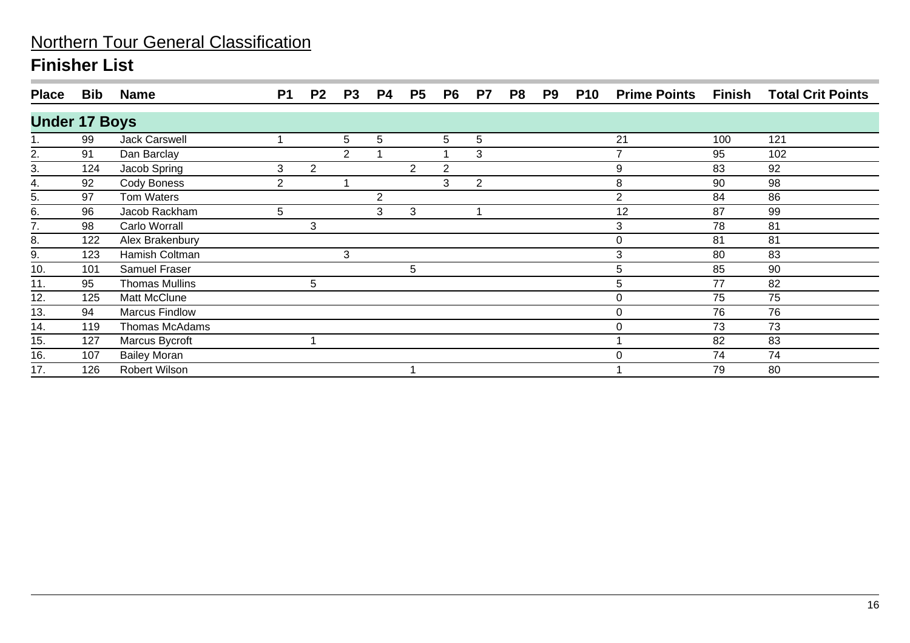| <b>Place</b>         | <b>Bib</b> | <b>Name</b>           | <b>P1</b>      | P <sub>2</sub> | P <sub>3</sub> | <b>P4</b> | P <sub>5</sub>       | P <sub>6</sub> | P7             | P8 | P9 | <b>P10</b> | <b>Prime Points</b> | Finish | <b>Total Crit Points</b> |
|----------------------|------------|-----------------------|----------------|----------------|----------------|-----------|----------------------|----------------|----------------|----|----|------------|---------------------|--------|--------------------------|
| <b>Under 17 Boys</b> |            |                       |                |                |                |           |                      |                |                |    |    |            |                     |        |                          |
|                      | 99         | <b>Jack Carswell</b>  |                |                | 5              | 5         |                      | 5              | 5              |    |    |            | 21                  | 100    | 121                      |
| 2.                   | 91         | Dan Barclay           |                |                | 2              |           |                      |                | 3              |    |    |            | 7                   | 95     | 102                      |
| $\overline{3}$ .     | 124        | Jacob Spring          | 3              | 2              |                |           | $\mathbf{2}^{\circ}$ | 2              |                |    |    |            | 9                   | 83     | 92                       |
| 4.                   | 92         | Cody Boness           | $\overline{2}$ |                |                |           |                      | 3              | $\overline{2}$ |    |    |            | 8                   | 90     | 98                       |
| 5.                   | 97         | Tom Waters            |                |                |                | 2         |                      |                |                |    |    |            | $\overline{2}$      | 84     | 86                       |
| 6.                   | 96         | Jacob Rackham         | 5              |                |                | 3         | 3                    |                |                |    |    |            | 12                  | 87     | 99                       |
| 7.                   | 98         | Carlo Worrall         |                | 3              |                |           |                      |                |                |    |    |            | 3                   | 78     | 81                       |
| 8.                   | 122        | Alex Brakenbury       |                |                |                |           |                      |                |                |    |    |            | 0                   | 81     | 81                       |
| 9.                   | 123        | Hamish Coltman        |                |                | 3              |           |                      |                |                |    |    |            | 3                   | 80     | 83                       |
| 10.                  | 101        | Samuel Fraser         |                |                |                |           | 5                    |                |                |    |    |            | 5                   | 85     | 90                       |
| 11.                  | 95         | <b>Thomas Mullins</b> |                | 5              |                |           |                      |                |                |    |    |            | 5                   | 77     | 82                       |
| 12.                  | 125        | Matt McClune          |                |                |                |           |                      |                |                |    |    |            | $\Omega$            | 75     | 75                       |
| 13.                  | 94         | <b>Marcus Findlow</b> |                |                |                |           |                      |                |                |    |    |            | 0                   | 76     | 76                       |
| 14.                  | 119        | Thomas McAdams        |                |                |                |           |                      |                |                |    |    |            | 0                   | 73     | 73                       |
| 15.                  | 127        | Marcus Bycroft        |                |                |                |           |                      |                |                |    |    |            |                     | 82     | 83                       |
| 16.                  | 107        | <b>Bailey Moran</b>   |                |                |                |           |                      |                |                |    |    |            | 0                   | 74     | 74                       |
| 17.                  | 126        | Robert Wilson         |                |                |                |           |                      |                |                |    |    |            |                     | 79     | 80                       |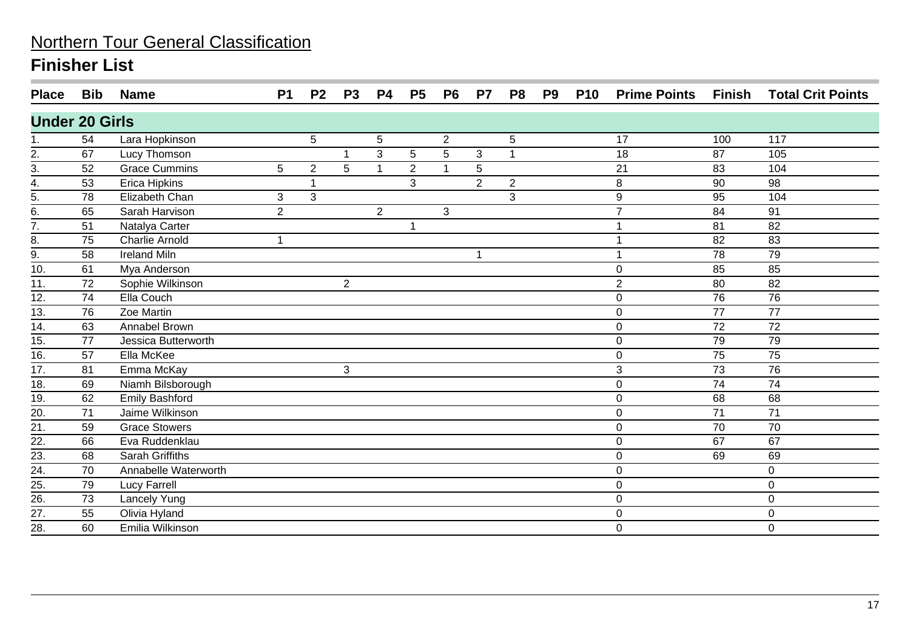| <b>Place</b>          | Bib | <b>Name</b>           | P <sub>1</sub> | P <sub>2</sub> | P <sub>3</sub> | <b>P4</b>      | P <sub>5</sub> | P <sub>6</sub>  | P <sub>7</sub> | P <sub>8</sub> | P <sub>9</sub> | <b>P10</b> | <b>Prime Points</b> | Finish | <b>Total Crit Points</b> |
|-----------------------|-----|-----------------------|----------------|----------------|----------------|----------------|----------------|-----------------|----------------|----------------|----------------|------------|---------------------|--------|--------------------------|
| <b>Under 20 Girls</b> |     |                       |                |                |                |                |                |                 |                |                |                |            |                     |        |                          |
| 1.                    | 54  | Lara Hopkinson        |                | 5              |                | 5              |                | $\overline{2}$  |                | 5              |                |            | 17                  | 100    | 117                      |
| 2.                    | 67  | Lucy Thomson          |                |                |                | 3              | 5              | $5\phantom{.0}$ | $\mathbf{3}$   | $\mathbf{1}$   |                |            | 18                  | 87     | 105                      |
| $\frac{3}{4}$ .       | 52  | <b>Grace Cummins</b>  | 5              | $\overline{2}$ | 5              | 1              | $\overline{2}$ | -1              | 5              |                |                |            | 21                  | 83     | 104                      |
|                       | 53  | Erica Hipkins         |                |                |                |                | 3              |                 | $\overline{2}$ | $\overline{2}$ |                |            | 8                   | 90     | $\overline{98}$          |
| $\frac{1}{5}$         | 78  | Elizabeth Chan        | 3              | 3              |                |                |                |                 |                | 3              |                |            | 9                   | 95     | 104                      |
|                       | 65  | Sarah Harvison        | $\overline{2}$ |                |                | $\overline{2}$ |                | 3               |                |                |                |            | $\overline{7}$      | 84     | 91                       |
| $\frac{1}{7}$         | 51  | Natalya Carter        |                |                |                |                | 1              |                 |                |                |                |            | 1                   | 81     | 82                       |
| 8.                    | 75  | <b>Charlie Arnold</b> | $\mathbf{1}$   |                |                |                |                |                 |                |                |                |            | 1                   | 82     | 83                       |
| $\overline{9}$ .      | 58  | <b>Ireland Miln</b>   |                |                |                |                |                |                 |                |                |                |            |                     | 78     | 79                       |
| 10.                   | 61  | Mya Anderson          |                |                |                |                |                |                 |                |                |                |            | 0                   | 85     | 85                       |
| 11.                   | 72  | Sophie Wilkinson      |                |                | $\overline{2}$ |                |                |                 |                |                |                |            | $\overline{2}$      | 80     | 82                       |
| 12.                   | 74  | Ella Couch            |                |                |                |                |                |                 |                |                |                |            | 0                   | 76     | 76                       |
| 13.                   | 76  | Zoe Martin            |                |                |                |                |                |                 |                |                |                |            | $\mathbf 0$         | 77     | 77                       |
| 14.                   | 63  | Annabel Brown         |                |                |                |                |                |                 |                |                |                |            | 0                   | 72     | 72                       |
| 15.                   | 77  | Jessica Butterworth   |                |                |                |                |                |                 |                |                |                |            | 0                   | 79     | 79                       |
| $\overline{16}$ .     | 57  | Ella McKee            |                |                |                |                |                |                 |                |                |                |            | 0                   | 75     | 75                       |
| 17.                   | 81  | Emma McKay            |                |                | 3              |                |                |                 |                |                |                |            | 3                   | 73     | 76                       |
| $\overline{18}$ .     | 69  | Niamh Bilsborough     |                |                |                |                |                |                 |                |                |                |            | $\mathbf 0$         | 74     | $\overline{74}$          |
| 19.                   | 62  | <b>Emily Bashford</b> |                |                |                |                |                |                 |                |                |                |            | $\mathbf 0$         | 68     | 68                       |
| $\overline{20}$       | 71  | Jaime Wilkinson       |                |                |                |                |                |                 |                |                |                |            | $\mathbf 0$         | 71     | 71                       |
| $\overline{21}$       | 59  | <b>Grace Stowers</b>  |                |                |                |                |                |                 |                |                |                |            | $\mathbf 0$         | 70     | 70                       |
| $\overline{22}$       | 66  | Eva Ruddenklau        |                |                |                |                |                |                 |                |                |                |            | $\overline{0}$      | 67     | 67                       |
| 23.                   | 68  | Sarah Griffiths       |                |                |                |                |                |                 |                |                |                |            | 0                   | 69     | 69                       |
| $\overline{24}$ .     | 70  | Annabelle Waterworth  |                |                |                |                |                |                 |                |                |                |            | $\boldsymbol{0}$    |        | $\mathbf 0$              |
| $\frac{25}{26}$       | 79  | <b>Lucy Farrell</b>   |                |                |                |                |                |                 |                |                |                |            | 0                   |        | $\mathbf 0$              |
|                       | 73  | Lancely Yung          |                |                |                |                |                |                 |                |                |                |            | $\mathbf 0$         |        | 0                        |
| $\overline{27}$ .     | 55  | Olivia Hyland         |                |                |                |                |                |                 |                |                |                |            | 0                   |        | 0                        |
| $\overline{28}$ .     | 60  | Emilia Wilkinson      |                |                |                |                |                |                 |                |                |                |            | $\mathbf 0$         |        | $\mathbf 0$              |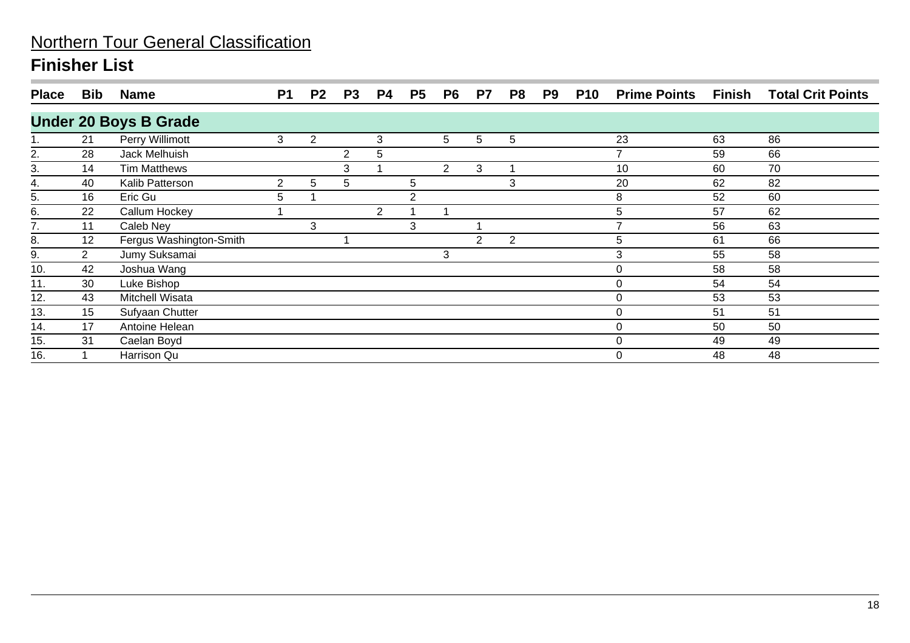| <b>Place</b> | <b>Bib</b> | <b>Name</b>                  | P <sub>1</sub> | P <sub>2</sub> | P <sub>3</sub> | <b>P4</b>      | P <sub>5</sub> | P <sub>6</sub> | P7 | P8 | P <sub>9</sub> | <b>P10</b> | <b>Prime Points</b> | Finish | <b>Total Crit Points</b> |
|--------------|------------|------------------------------|----------------|----------------|----------------|----------------|----------------|----------------|----|----|----------------|------------|---------------------|--------|--------------------------|
|              |            | <b>Under 20 Boys B Grade</b> |                |                |                |                |                |                |    |    |                |            |                     |        |                          |
|              | 21         | Perry Willimott              | 3              | 2              |                | 3              |                | 5              | 5  | 5  |                |            | 23                  | 63     | 86                       |
| 2.           | 28         | Jack Melhuish                |                |                | 2              | 5              |                |                |    |    |                |            | ⇁                   | 59     | 66                       |
| 3.           | 14         | <b>Tim Matthews</b>          |                |                | 3              |                |                | 2              | 3  |    |                |            | 10                  | 60     | 70                       |
| 4.           | 40         | Kalib Patterson              | $\overline{2}$ | 5              | 5              |                | 5              |                |    | 3  |                |            | 20                  | 62     | 82                       |
| 5.           | 16         | Eric Gu                      | 5              |                |                |                | 2              |                |    |    |                |            | 8                   | 52     | 60                       |
| 6.           | 22         | Callum Hockey                |                |                |                | $\overline{2}$ |                |                |    |    |                |            | 5                   | 57     | 62                       |
| 7.           | 11         | Caleb Ney                    |                | 3              |                |                | 3              |                |    |    |                |            | ⇁                   | 56     | 63                       |
| 8.           | 12         | Fergus Washington-Smith      |                |                |                |                |                |                | 2  | 2  |                |            | 5                   | 61     | 66                       |
| 9.           | 2          | Jumy Suksamai                |                |                |                |                |                | 3              |    |    |                |            | 3                   | 55     | 58                       |
| 10.          | 42         | Joshua Wang                  |                |                |                |                |                |                |    |    |                |            | 0                   | 58     | 58                       |
| 11.          | 30         | Luke Bishop                  |                |                |                |                |                |                |    |    |                |            | 0                   | 54     | 54                       |
| 12.          | 43         | Mitchell Wisata              |                |                |                |                |                |                |    |    |                |            | 0                   | 53     | 53                       |
| 13.          | 15         | Sufyaan Chutter              |                |                |                |                |                |                |    |    |                |            | 0                   | 51     | 51                       |
| 14.          | 17         | Antoine Helean               |                |                |                |                |                |                |    |    |                |            | 0                   | 50     | 50                       |
| 15.          | 31         | Caelan Boyd                  |                |                |                |                |                |                |    |    |                |            | 0                   | 49     | 49                       |
| 16.          |            | Harrison Qu                  |                |                |                |                |                |                |    |    |                |            | 0                   | 48     | 48                       |